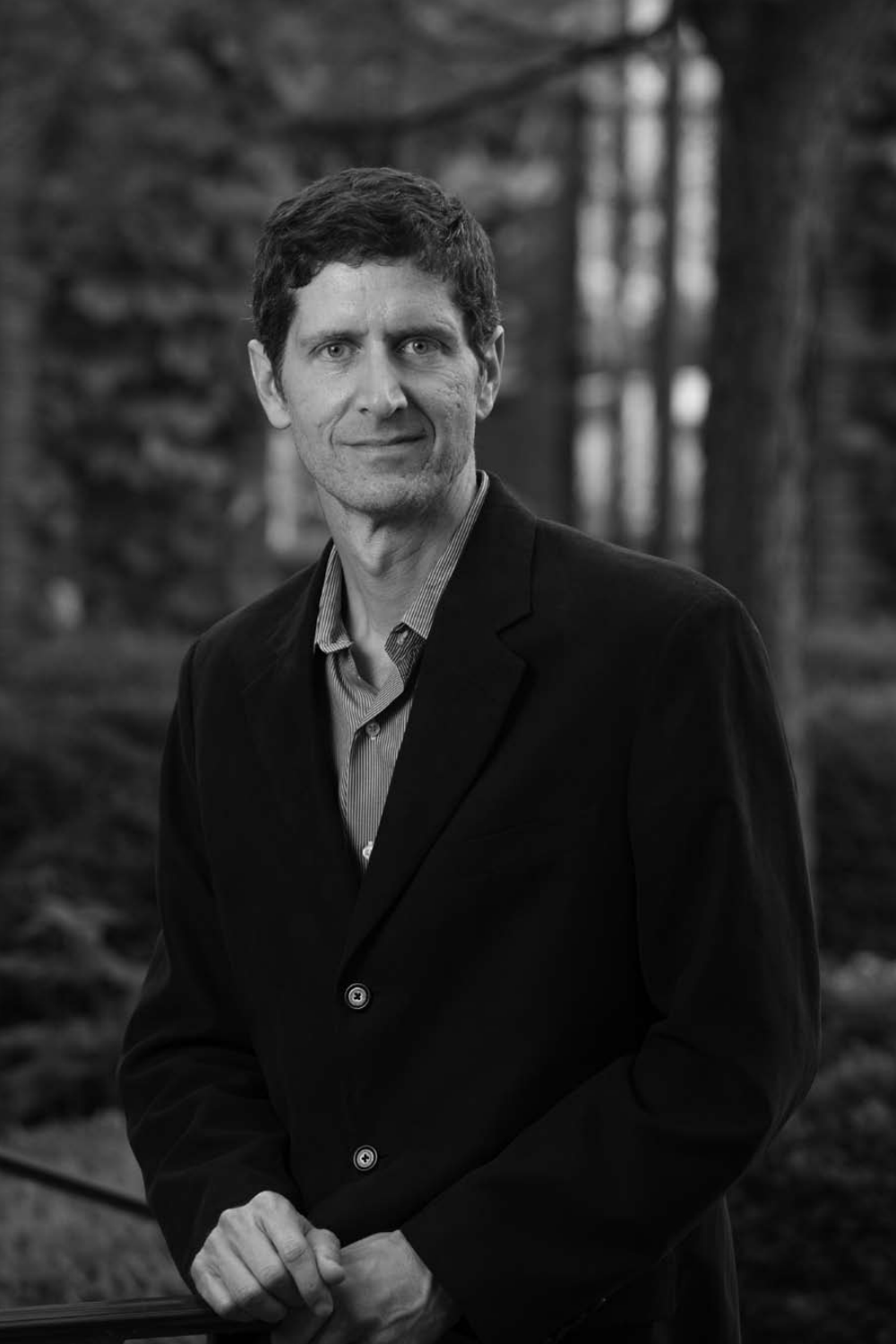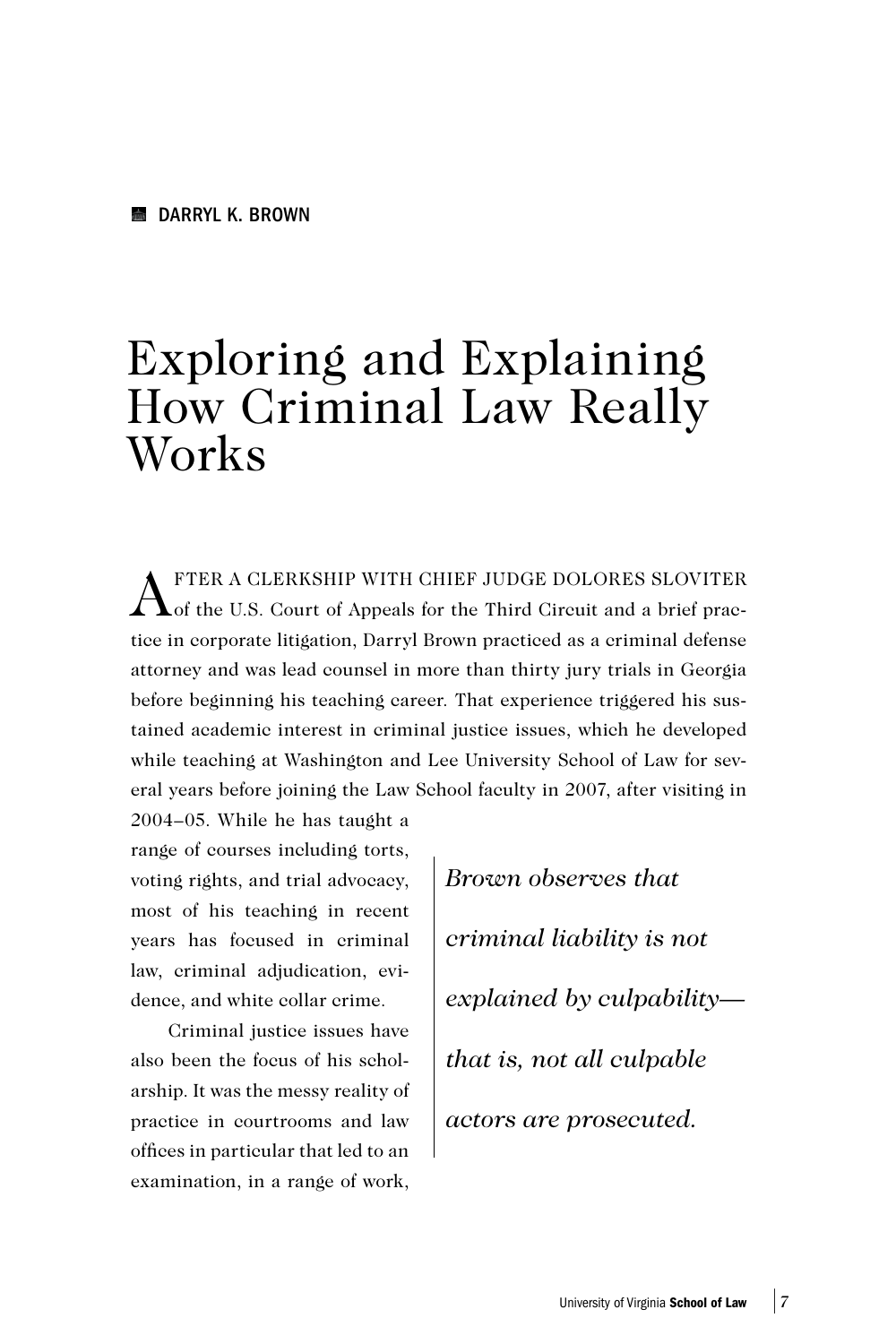# Exploring and Explaining How Criminal Law Really Works

 ${\rm A}^{\rm FTER~A~CLERKSHIP~WITH~CHIEF~JUDGE~DOLORES~SLOVITER}$  of the U.S. Court of Appeals for the Third Circuit and a brief practice in corporate litigation, Darryl Brown practiced as a criminal defense attorney and was lead counsel in more than thirty jury trials in Georgia before beginning his teaching career. That experience triggered his sustained academic interest in criminal justice issues, which he developed while teaching at Washington and Lee University School of Law for several years before joining the Law School faculty in 2007, after visiting in 2004–05. While he has taught a

range of courses including torts, voting rights, and trial advocacy, most of his teaching in recent years has focused in criminal law, criminal adjudication, evidence, and white collar crime.

Criminal justice issues have also been the focus of his scholarship. It was the messy reality of practice in courtrooms and law offices in particular that led to an examination, in a range of work,

*Brown observes that criminal liability is not explained by culpability that is, not all culpable actors are prosecuted.*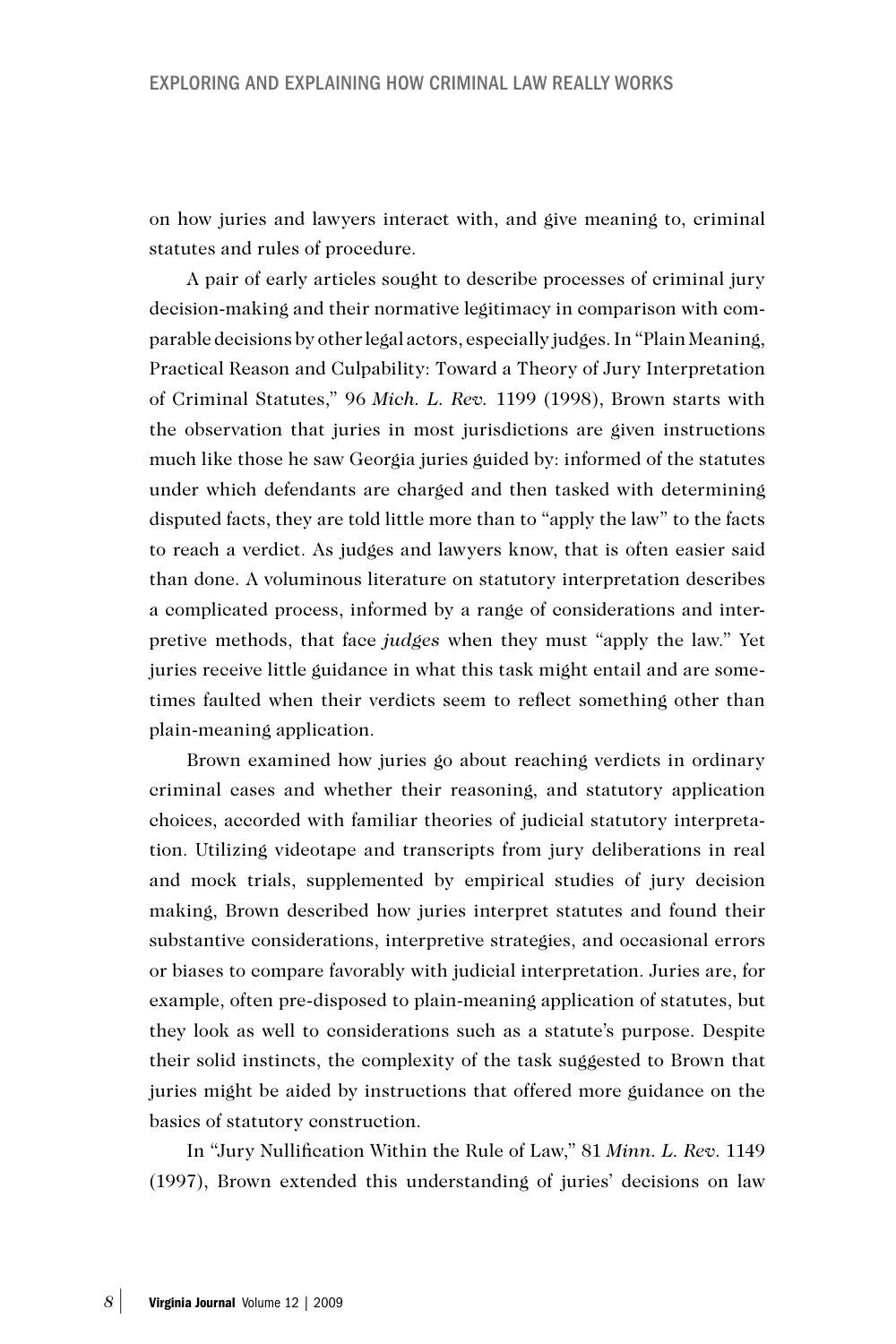on how juries and lawyers interact with, and give meaning to, criminal statutes and rules of procedure.

A pair of early articles sought to describe processes of criminal jury decision-making and their normative legitimacy in comparison with comparable decisions by other legal actors, especially judges. In "Plain Meaning, Practical Reason and Culpability: Toward a Theory of Jury Interpretation of Criminal Statutes," 96 *Mich. L. Rev.* 1199 (1998), Brown starts with the observation that juries in most jurisdictions are given instructions much like those he saw Georgia juries guided by: informed of the statutes under which defendants are charged and then tasked with determining disputed facts, they are told little more than to "apply the law" to the facts to reach a verdict. As judges and lawyers know, that is often easier said than done. A voluminous literature on statutory interpretation describes a complicated process, informed by a range of considerations and interpretive methods, that face *judges* when they must "apply the law." Yet juries receive little guidance in what this task might entail and are sometimes faulted when their verdicts seem to reflect something other than plain-meaning application.

Brown examined how juries go about reaching verdicts in ordinary criminal cases and whether their reasoning, and statutory application choices, accorded with familiar theories of judicial statutory interpretation. Utilizing videotape and transcripts from jury deliberations in real and mock trials, supplemented by empirical studies of jury decision making, Brown described how juries interpret statutes and found their substantive considerations, interpretive strategies, and occasional errors or biases to compare favorably with judicial interpretation. Juries are, for example, often pre-disposed to plain-meaning application of statutes, but they look as well to considerations such as a statute's purpose. Despite their solid instincts, the complexity of the task suggested to Brown that juries might be aided by instructions that offered more guidance on the basics of statutory construction.

In "Jury Nullification Within the Rule of Law," 81 *Minn. L. Rev*. 1149 (1997), Brown extended this understanding of juries' decisions on law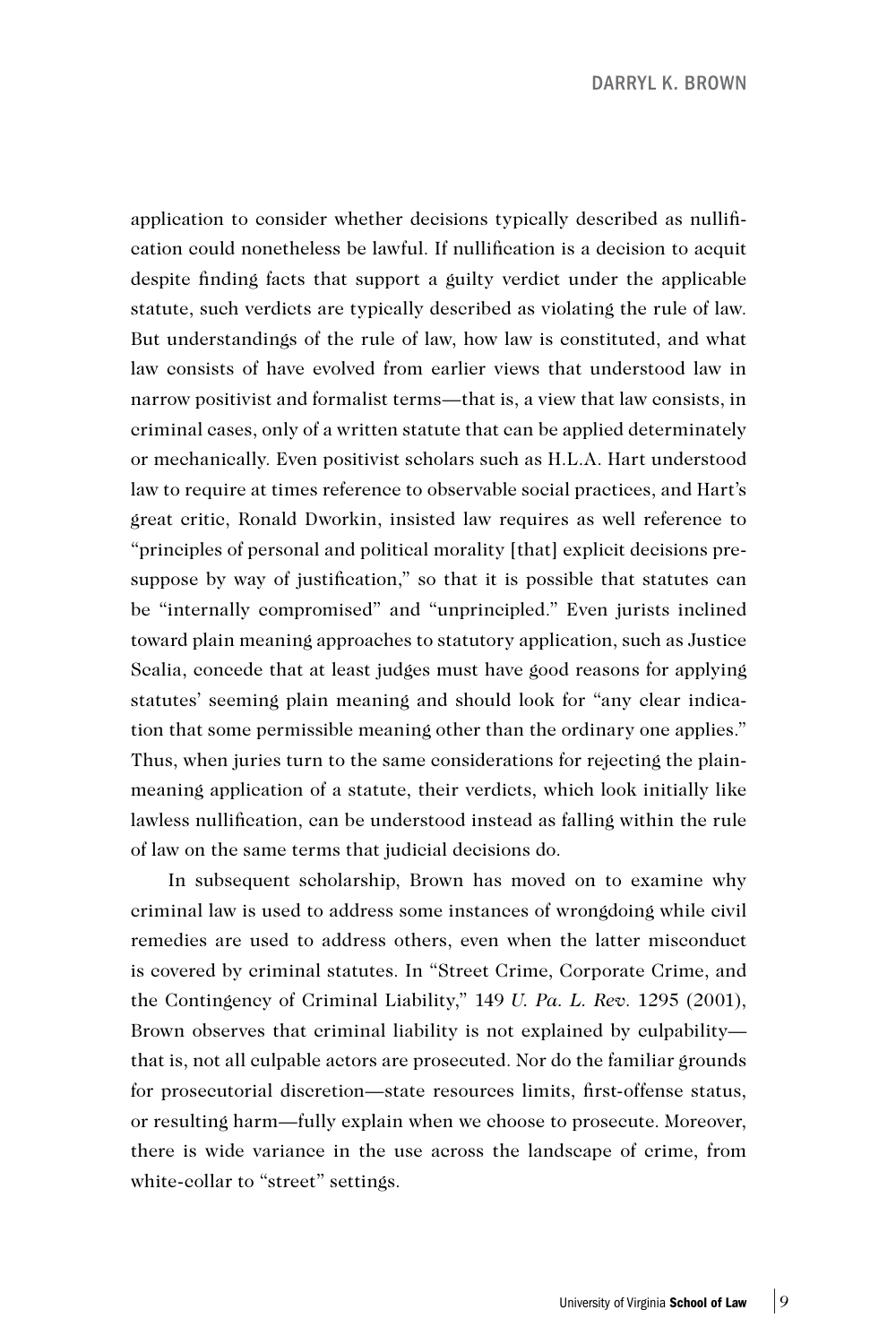application to consider whether decisions typically described as nullification could nonetheless be lawful. If nullification is a decision to acquit despite finding facts that support a guilty verdict under the applicable statute, such verdicts are typically described as violating the rule of law. But understandings of the rule of law, how law is constituted, and what law consists of have evolved from earlier views that understood law in narrow positivist and formalist terms—that is, a view that law consists, in criminal cases, only of a written statute that can be applied determinately or mechanically. Even positivist scholars such as H.L.A. Hart understood law to require at times reference to observable social practices, and Hart's great critic, Ronald Dworkin, insisted law requires as well reference to "principles of personal and political morality [that] explicit decisions presuppose by way of justification," so that it is possible that statutes can be "internally compromised" and "unprincipled." Even jurists inclined toward plain meaning approaches to statutory application, such as Justice Scalia, concede that at least judges must have good reasons for applying statutes' seeming plain meaning and should look for "any clear indication that some permissible meaning other than the ordinary one applies." Thus, when juries turn to the same considerations for rejecting the plainmeaning application of a statute, their verdicts, which look initially like lawless nullification, can be understood instead as falling within the rule of law on the same terms that judicial decisions do.

In subsequent scholarship, Brown has moved on to examine why criminal law is used to address some instances of wrongdoing while civil remedies are used to address others, even when the latter misconduct is covered by criminal statutes. In "Street Crime, Corporate Crime, and the Contingency of Criminal Liability," 149 *U. Pa. L. Rev*. 1295 (2001), Brown observes that criminal liability is not explained by culpability that is, not all culpable actors are prosecuted. Nor do the familiar grounds for prosecutorial discretion—state resources limits, first-offense status, or resulting harm—fully explain when we choose to prosecute. Moreover, there is wide variance in the use across the landscape of crime, from white-collar to "street" settings.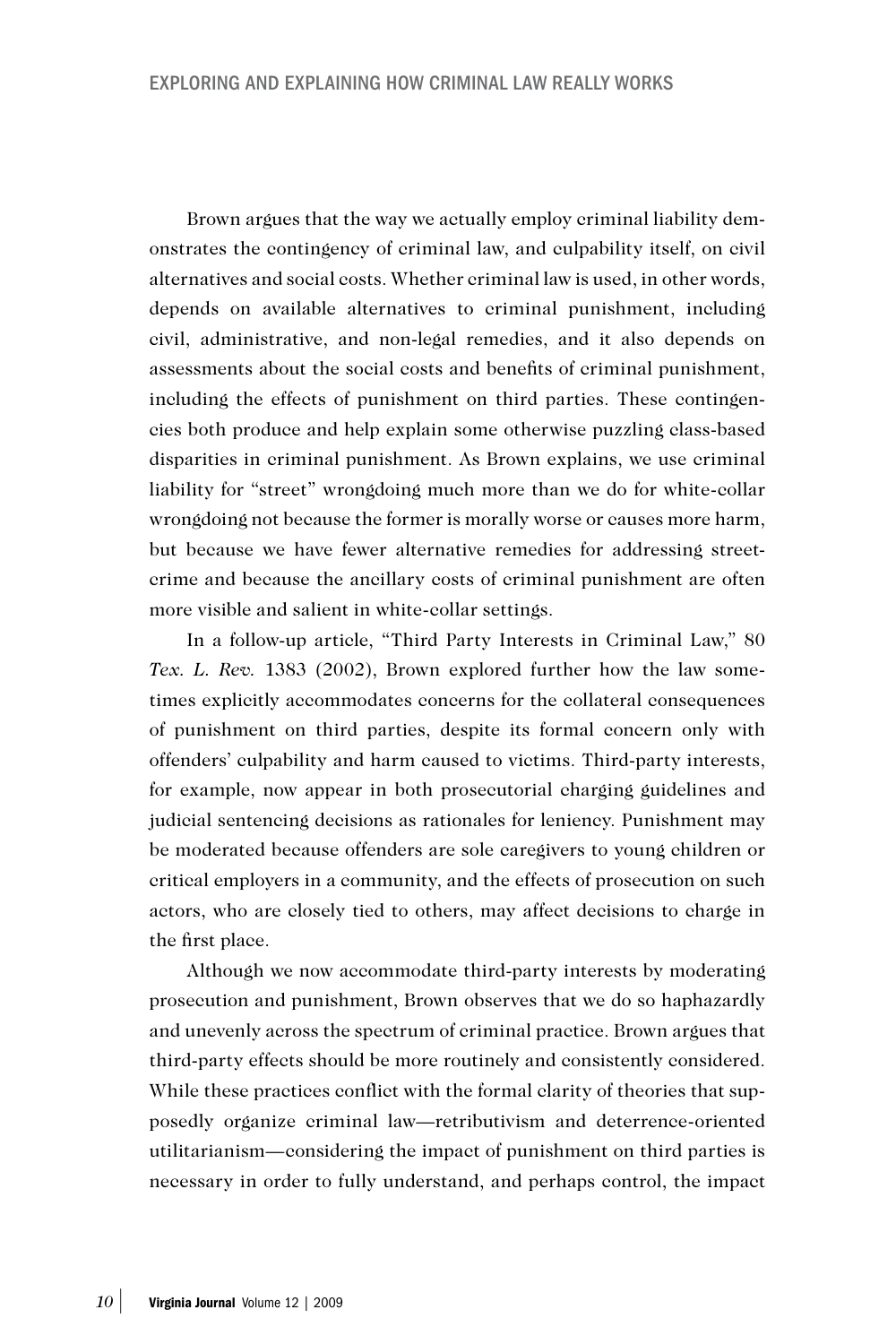Brown argues that the way we actually employ criminal liability demonstrates the contingency of criminal law, and culpability itself, on civil alternatives and social costs. Whether criminal law is used, in other words, depends on available alternatives to criminal punishment, including civil, administrative, and non-legal remedies, and it also depends on assessments about the social costs and benefits of criminal punishment, including the effects of punishment on third parties. These contingencies both produce and help explain some otherwise puzzling class-based disparities in criminal punishment. As Brown explains, we use criminal liability for "street" wrongdoing much more than we do for white-collar wrongdoing not because the former is morally worse or causes more harm, but because we have fewer alternative remedies for addressing streetcrime and because the ancillary costs of criminal punishment are often more visible and salient in white-collar settings.

In a follow-up article, "Third Party Interests in Criminal Law," 80 *Tex. L. Rev.* 1383 (2002), Brown explored further how the law sometimes explicitly accommodates concerns for the collateral consequences of punishment on third parties, despite its formal concern only with offenders' culpability and harm caused to victims. Third-party interests, for example, now appear in both prosecutorial charging guidelines and judicial sentencing decisions as rationales for leniency. Punishment may be moderated because offenders are sole caregivers to young children or critical employers in a community, and the effects of prosecution on such actors, who are closely tied to others, may affect decisions to charge in the first place.

Although we now accommodate third-party interests by moderating prosecution and punishment, Brown observes that we do so haphazardly and unevenly across the spectrum of criminal practice. Brown argues that third-party effects should be more routinely and consistently considered. While these practices conflict with the formal clarity of theories that supposedly organize criminal law—retributivism and deterrence-oriented utilitarianism—considering the impact of punishment on third parties is necessary in order to fully understand, and perhaps control, the impact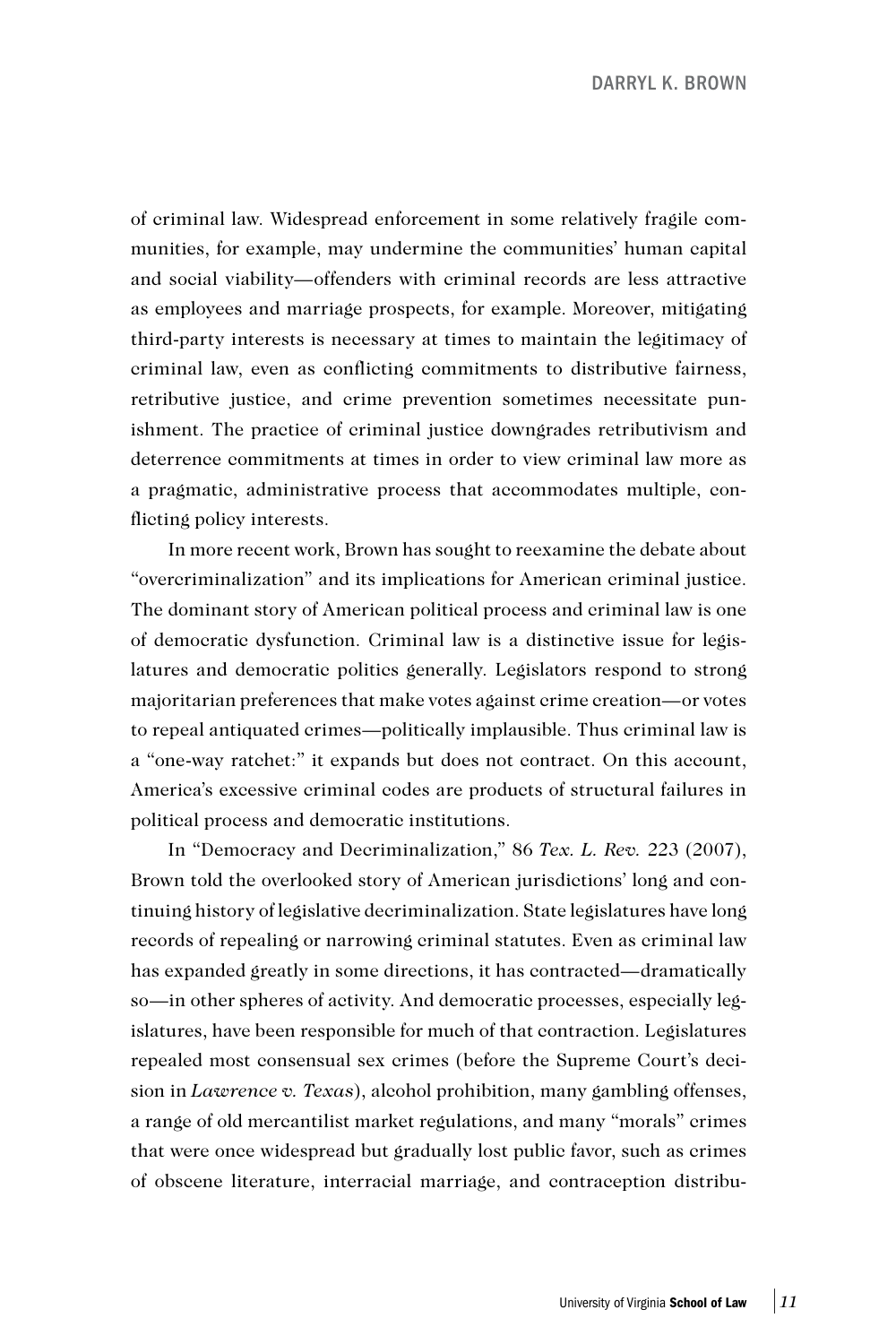of criminal law. Widespread enforcement in some relatively fragile communities, for example, may undermine the communities' human capital and social viability—offenders with criminal records are less attractive as employees and marriage prospects, for example. Moreover, mitigating third-party interests is necessary at times to maintain the legitimacy of criminal law, even as conflicting commitments to distributive fairness, retributive justice, and crime prevention sometimes necessitate punishment. The practice of criminal justice downgrades retributivism and deterrence commitments at times in order to view criminal law more as a pragmatic, administrative process that accommodates multiple, conflicting policy interests.

In more recent work, Brown has sought to reexamine the debate about "overcriminalization" and its implications for American criminal justice. The dominant story of American political process and criminal law is one of democratic dysfunction. Criminal law is a distinctive issue for legislatures and democratic politics generally. Legislators respond to strong majoritarian preferences that make votes against crime creation—or votes to repeal antiquated crimes—politically implausible. Thus criminal law is a "one-way ratchet:" it expands but does not contract. On this account, America's excessive criminal codes are products of structural failures in political process and democratic institutions.

In "Democracy and Decriminalization," 86 *Tex. L. Rev.* 223 (2007), Brown told the overlooked story of American jurisdictions' long and continuing history of legislative decriminalization. State legislatures have long records of repealing or narrowing criminal statutes. Even as criminal law has expanded greatly in some directions, it has contracted—dramatically so—in other spheres of activity. And democratic processes, especially legislatures, have been responsible for much of that contraction. Legislatures repealed most consensual sex crimes (before the Supreme Court's decision in *Lawrence v. Texas*), alcohol prohibition, many gambling offenses, a range of old mercantilist market regulations, and many "morals" crimes that were once widespread but gradually lost public favor, such as crimes of obscene literature, interracial marriage, and contraception distribu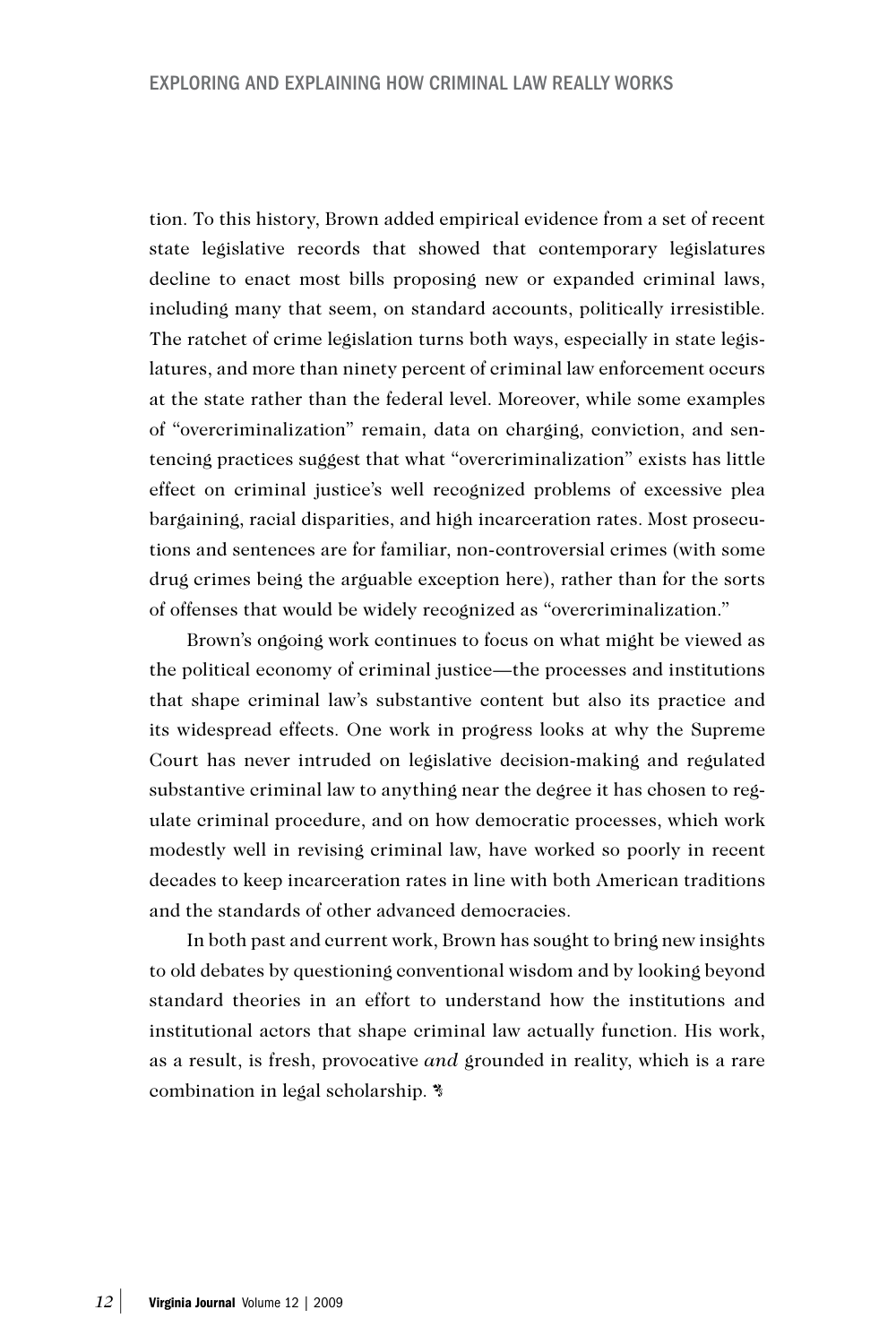tion. To this history, Brown added empirical evidence from a set of recent state legislative records that showed that contemporary legislatures decline to enact most bills proposing new or expanded criminal laws, including many that seem, on standard accounts, politically irresistible. The ratchet of crime legislation turns both ways, especially in state legislatures, and more than ninety percent of criminal law enforcement occurs at the state rather than the federal level. Moreover, while some examples of "overcriminalization" remain, data on charging, conviction, and sentencing practices suggest that what "overcriminalization" exists has little effect on criminal justice's well recognized problems of excessive plea bargaining, racial disparities, and high incarceration rates. Most prosecutions and sentences are for familiar, non-controversial crimes (with some drug crimes being the arguable exception here), rather than for the sorts of offenses that would be widely recognized as "overcriminalization."

Brown's ongoing work continues to focus on what might be viewed as the political economy of criminal justice—the processes and institutions that shape criminal law's substantive content but also its practice and its widespread effects. One work in progress looks at why the Supreme Court has never intruded on legislative decision-making and regulated substantive criminal law to anything near the degree it has chosen to regulate criminal procedure, and on how democratic processes, which work modestly well in revising criminal law, have worked so poorly in recent decades to keep incarceration rates in line with both American traditions and the standards of other advanced democracies.

In both past and current work, Brown has sought to bring new insights to old debates by questioning conventional wisdom and by looking beyond standard theories in an effort to understand how the institutions and institutional actors that shape criminal law actually function. His work, as a result, is fresh, provocative *and* grounded in reality, which is a rare combination in legal scholarship.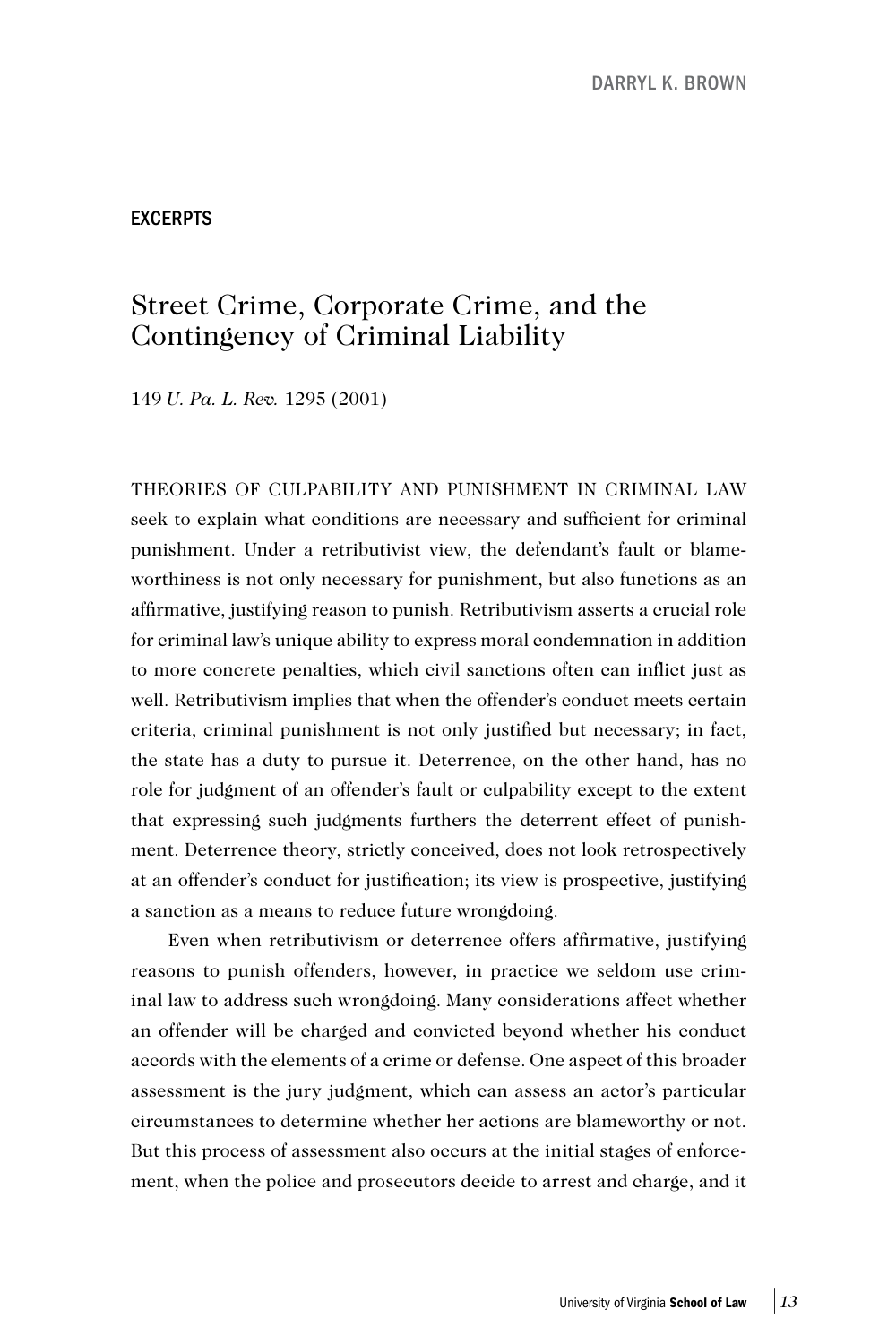## **EXCERPTS**

## Street Crime, Corporate Crime, and the Contingency of Criminal Liability

149 *U. Pa. L. Rev.* 1295 (2001)

Theories of culpability and punishment in criminal law seek to explain what conditions are necessary and sufficient for criminal punishment. Under a retributivist view, the defendant's fault or blameworthiness is not only necessary for punishment, but also functions as an affirmative, justifying reason to punish. Retributivism asserts a crucial role for criminal law's unique ability to express moral condemnation in addition to more concrete penalties, which civil sanctions often can inflict just as well. Retributivism implies that when the offender's conduct meets certain criteria, criminal punishment is not only justified but necessary; in fact, the state has a duty to pursue it. Deterrence, on the other hand, has no role for judgment of an offender's fault or culpability except to the extent that expressing such judgments furthers the deterrent effect of punishment. Deterrence theory, strictly conceived, does not look retrospectively at an offender's conduct for justification; its view is prospective, justifying a sanction as a means to reduce future wrongdoing.

Even when retributivism or deterrence offers affirmative, justifying reasons to punish offenders, however, in practice we seldom use criminal law to address such wrongdoing. Many considerations affect whether an offender will be charged and convicted beyond whether his conduct accords with the elements of a crime or defense. One aspect of this broader assessment is the jury judgment, which can assess an actor's particular circumstances to determine whether her actions are blameworthy or not. But this process of assessment also occurs at the initial stages of enforcement, when the police and prosecutors decide to arrest and charge, and it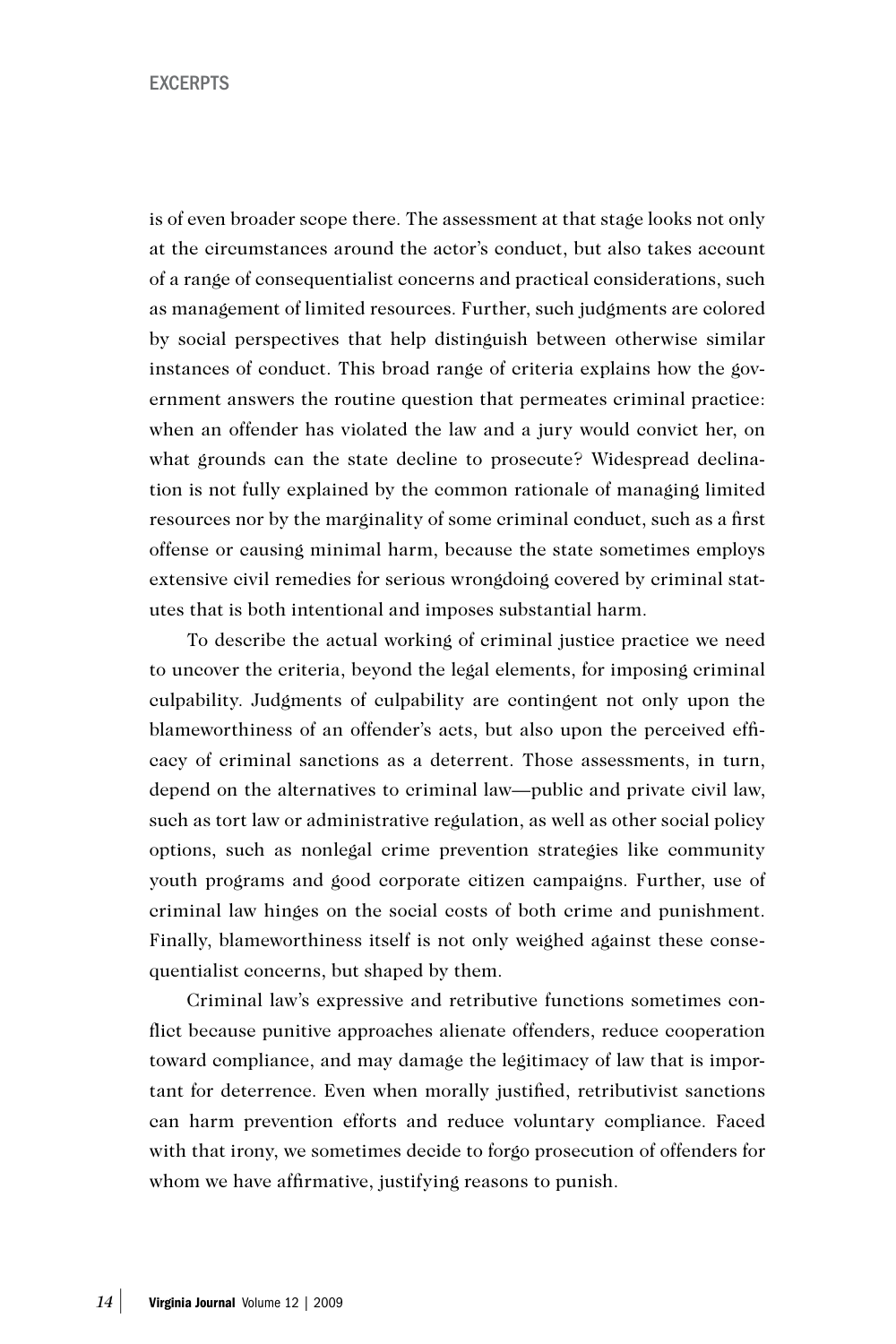is of even broader scope there. The assessment at that stage looks not only at the circumstances around the actor's conduct, but also takes account of a range of consequentialist concerns and practical considerations, such as management of limited resources. Further, such judgments are colored by social perspectives that help distinguish between otherwise similar instances of conduct. This broad range of criteria explains how the government answers the routine question that permeates criminal practice: when an offender has violated the law and a jury would convict her, on what grounds can the state decline to prosecute? Widespread declination is not fully explained by the common rationale of managing limited resources nor by the marginality of some criminal conduct, such as a first offense or causing minimal harm, because the state sometimes employs extensive civil remedies for serious wrongdoing covered by criminal statutes that is both intentional and imposes substantial harm.

To describe the actual working of criminal justice practice we need to uncover the criteria, beyond the legal elements, for imposing criminal culpability. Judgments of culpability are contingent not only upon the blameworthiness of an offender's acts, but also upon the perceived efficacy of criminal sanctions as a deterrent. Those assessments, in turn, depend on the alternatives to criminal law—public and private civil law, such as tort law or administrative regulation, as well as other social policy options, such as nonlegal crime prevention strategies like community youth programs and good corporate citizen campaigns. Further, use of criminal law hinges on the social costs of both crime and punishment. Finally, blameworthiness itself is not only weighed against these consequentialist concerns, but shaped by them.

Criminal law's expressive and retributive functions sometimes conflict because punitive approaches alienate offenders, reduce cooperation toward compliance, and may damage the legitimacy of law that is important for deterrence. Even when morally justified, retributivist sanctions can harm prevention efforts and reduce voluntary compliance. Faced with that irony, we sometimes decide to forgo prosecution of offenders for whom we have affirmative, justifying reasons to punish.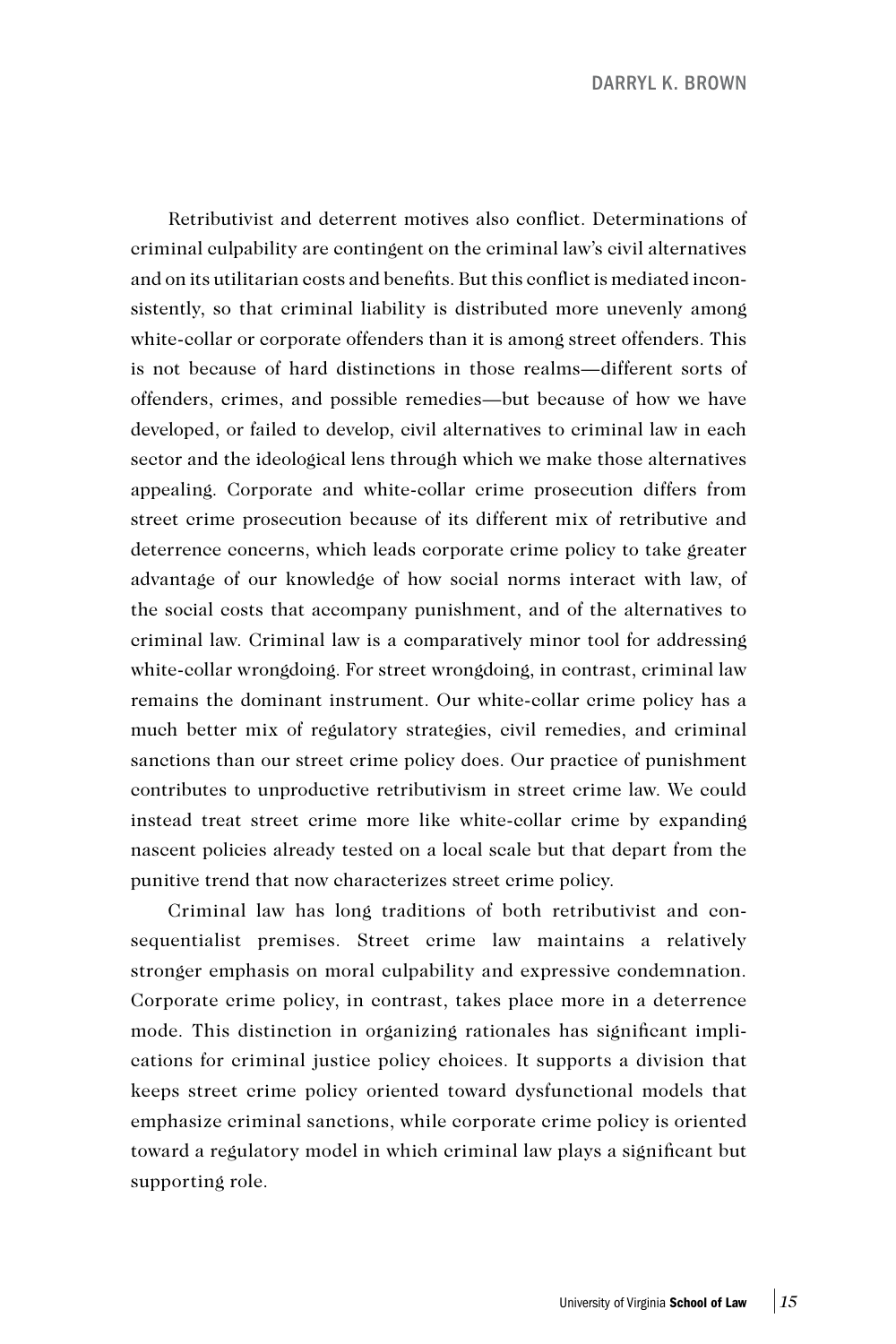Retributivist and deterrent motives also conflict. Determinations of criminal culpability are contingent on the criminal law's civil alternatives and on its utilitarian costs and benefits. But this conflict is mediated inconsistently, so that criminal liability is distributed more unevenly among white-collar or corporate offenders than it is among street offenders. This is not because of hard distinctions in those realms—different sorts of offenders, crimes, and possible remedies—but because of how we have developed, or failed to develop, civil alternatives to criminal law in each sector and the ideological lens through which we make those alternatives appealing. Corporate and white-collar crime prosecution differs from street crime prosecution because of its different mix of retributive and deterrence concerns, which leads corporate crime policy to take greater advantage of our knowledge of how social norms interact with law, of the social costs that accompany punishment, and of the alternatives to criminal law. Criminal law is a comparatively minor tool for addressing white-collar wrongdoing. For street wrongdoing, in contrast, criminal law remains the dominant instrument. Our white-collar crime policy has a much better mix of regulatory strategies, civil remedies, and criminal sanctions than our street crime policy does. Our practice of punishment contributes to unproductive retributivism in street crime law. We could instead treat street crime more like white-collar crime by expanding nascent policies already tested on a local scale but that depart from the punitive trend that now characterizes street crime policy.

Criminal law has long traditions of both retributivist and consequentialist premises. Street crime law maintains a relatively stronger emphasis on moral culpability and expressive condemnation. Corporate crime policy, in contrast, takes place more in a deterrence mode. This distinction in organizing rationales has significant implications for criminal justice policy choices. It supports a division that keeps street crime policy oriented toward dysfunctional models that emphasize criminal sanctions, while corporate crime policy is oriented toward a regulatory model in which criminal law plays a significant but supporting role.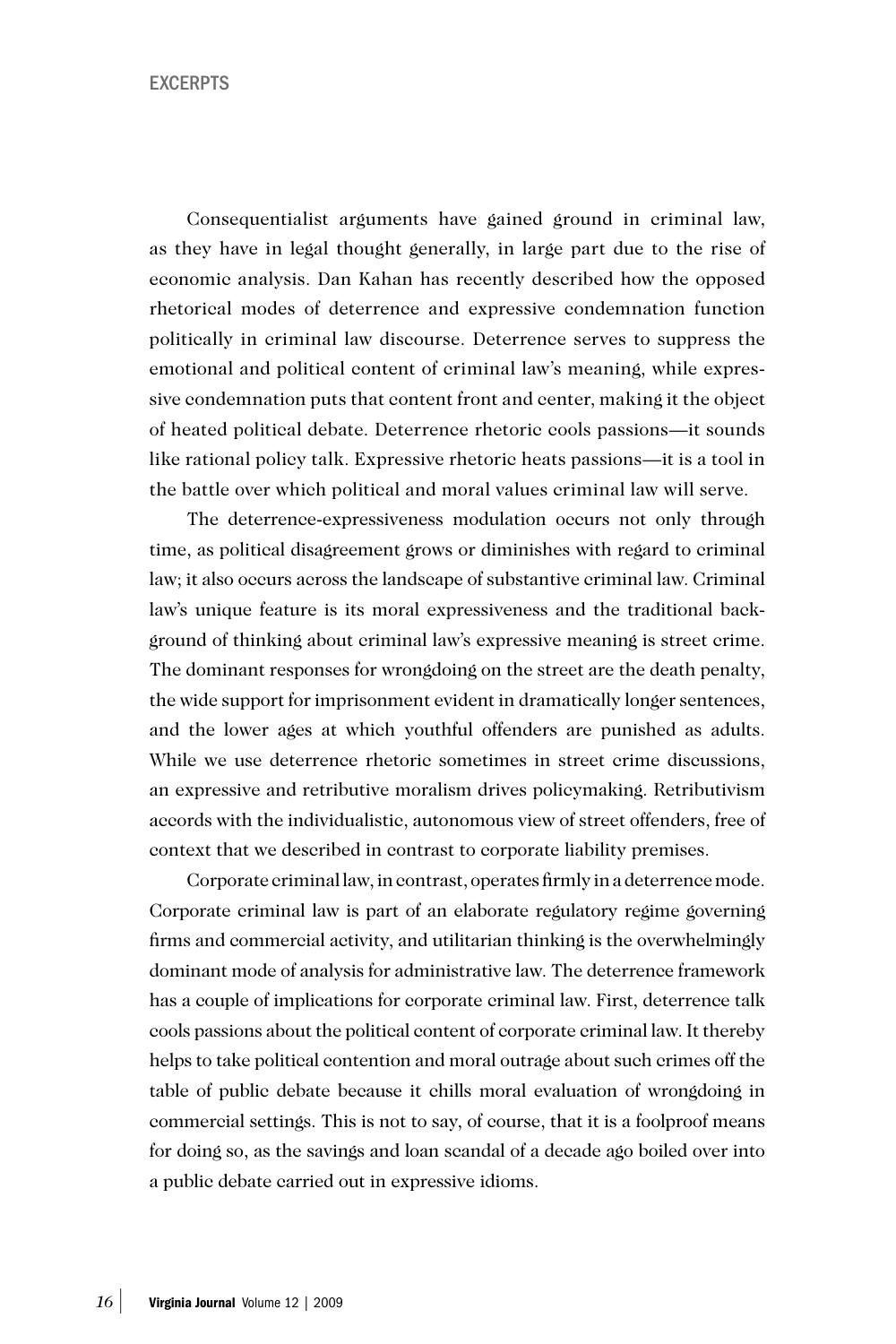Consequentialist arguments have gained ground in criminal law, as they have in legal thought generally, in large part due to the rise of economic analysis. Dan Kahan has recently described how the opposed rhetorical modes of deterrence and expressive condemnation function politically in criminal law discourse. Deterrence serves to suppress the emotional and political content of criminal law's meaning, while expressive condemnation puts that content front and center, making it the object of heated political debate. Deterrence rhetoric cools passions—it sounds like rational policy talk. Expressive rhetoric heats passions—it is a tool in the battle over which political and moral values criminal law will serve.

The deterrence-expressiveness modulation occurs not only through time, as political disagreement grows or diminishes with regard to criminal law; it also occurs across the landscape of substantive criminal law. Criminal law's unique feature is its moral expressiveness and the traditional background of thinking about criminal law's expressive meaning is street crime. The dominant responses for wrongdoing on the street are the death penalty, the wide support for imprisonment evident in dramatically longer sentences, and the lower ages at which youthful offenders are punished as adults. While we use deterrence rhetoric sometimes in street crime discussions, an expressive and retributive moralism drives policymaking. Retributivism accords with the individualistic, autonomous view of street offenders, free of context that we described in contrast to corporate liability premises.

Corporate criminal law, in contrast, operates firmly in a deterrence mode. Corporate criminal law is part of an elaborate regulatory regime governing firms and commercial activity, and utilitarian thinking is the overwhelmingly dominant mode of analysis for administrative law. The deterrence framework has a couple of implications for corporate criminal law. First, deterrence talk cools passions about the political content of corporate criminal law. It thereby helps to take political contention and moral outrage about such crimes off the table of public debate because it chills moral evaluation of wrongdoing in commercial settings. This is not to say, of course, that it is a foolproof means for doing so, as the savings and loan scandal of a decade ago boiled over into a public debate carried out in expressive idioms.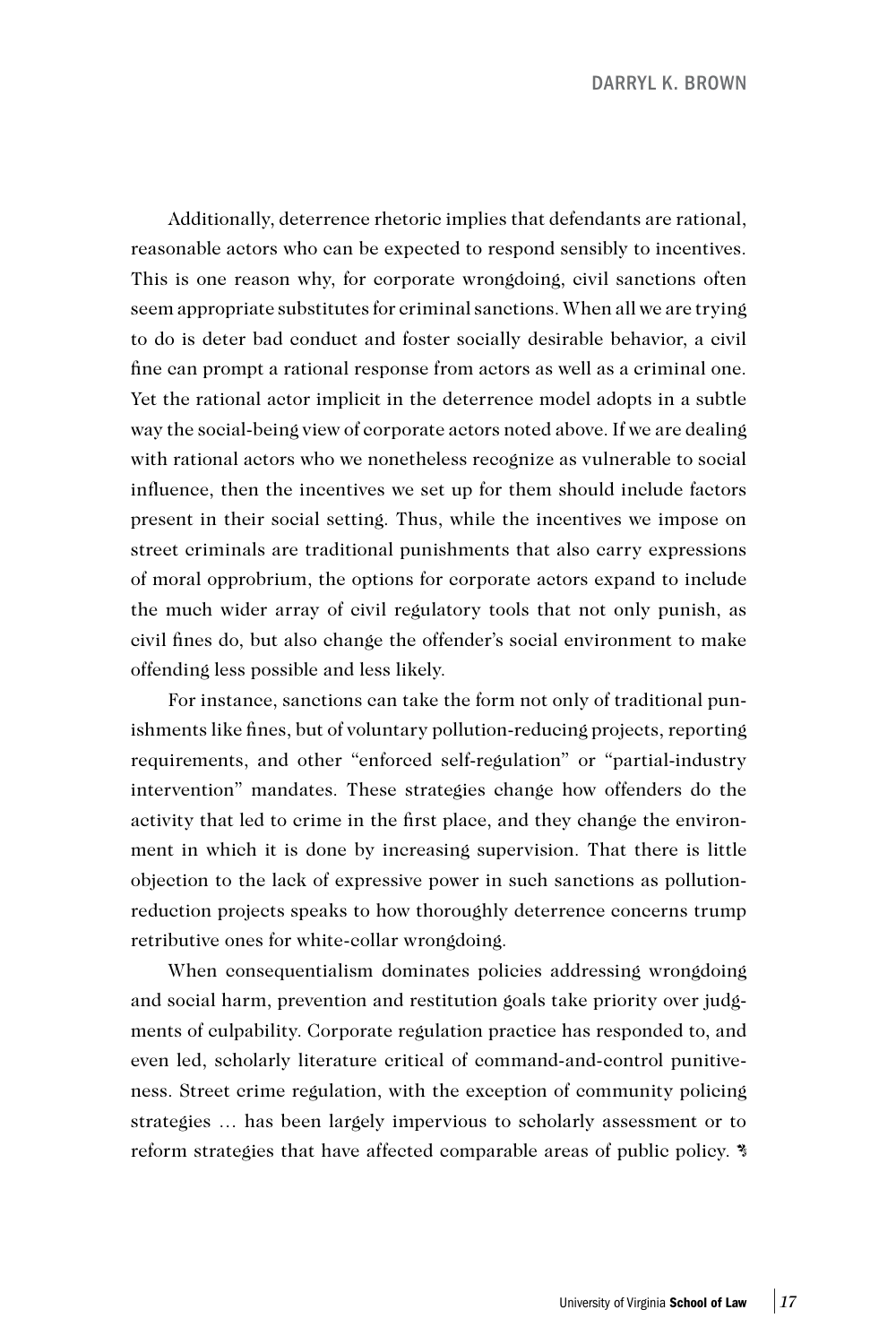Additionally, deterrence rhetoric implies that defendants are rational, reasonable actors who can be expected to respond sensibly to incentives. This is one reason why, for corporate wrongdoing, civil sanctions often seem appropriate substitutes for criminal sanctions. When all we are trying to do is deter bad conduct and foster socially desirable behavior, a civil fine can prompt a rational response from actors as well as a criminal one. Yet the rational actor implicit in the deterrence model adopts in a subtle way the social-being view of corporate actors noted above. If we are dealing with rational actors who we nonetheless recognize as vulnerable to social influence, then the incentives we set up for them should include factors present in their social setting. Thus, while the incentives we impose on street criminals are traditional punishments that also carry expressions of moral opprobrium, the options for corporate actors expand to include the much wider array of civil regulatory tools that not only punish, as civil fines do, but also change the offender's social environment to make offending less possible and less likely.

For instance, sanctions can take the form not only of traditional punishments like fines, but of voluntary pollution-reducing projects, reporting requirements, and other "enforced self-regulation" or "partial-industry intervention" mandates. These strategies change how offenders do the activity that led to crime in the first place, and they change the environment in which it is done by increasing supervision. That there is little objection to the lack of expressive power in such sanctions as pollutionreduction projects speaks to how thoroughly deterrence concerns trump retributive ones for white-collar wrongdoing.

When consequentialism dominates policies addressing wrongdoing and social harm, prevention and restitution goals take priority over judgments of culpability. Corporate regulation practice has responded to, and even led, scholarly literature critical of command-and-control punitiveness. Street crime regulation, with the exception of community policing strategies … has been largely impervious to scholarly assessment or to reform strategies that have affected comparable areas of public policy.  $\delta$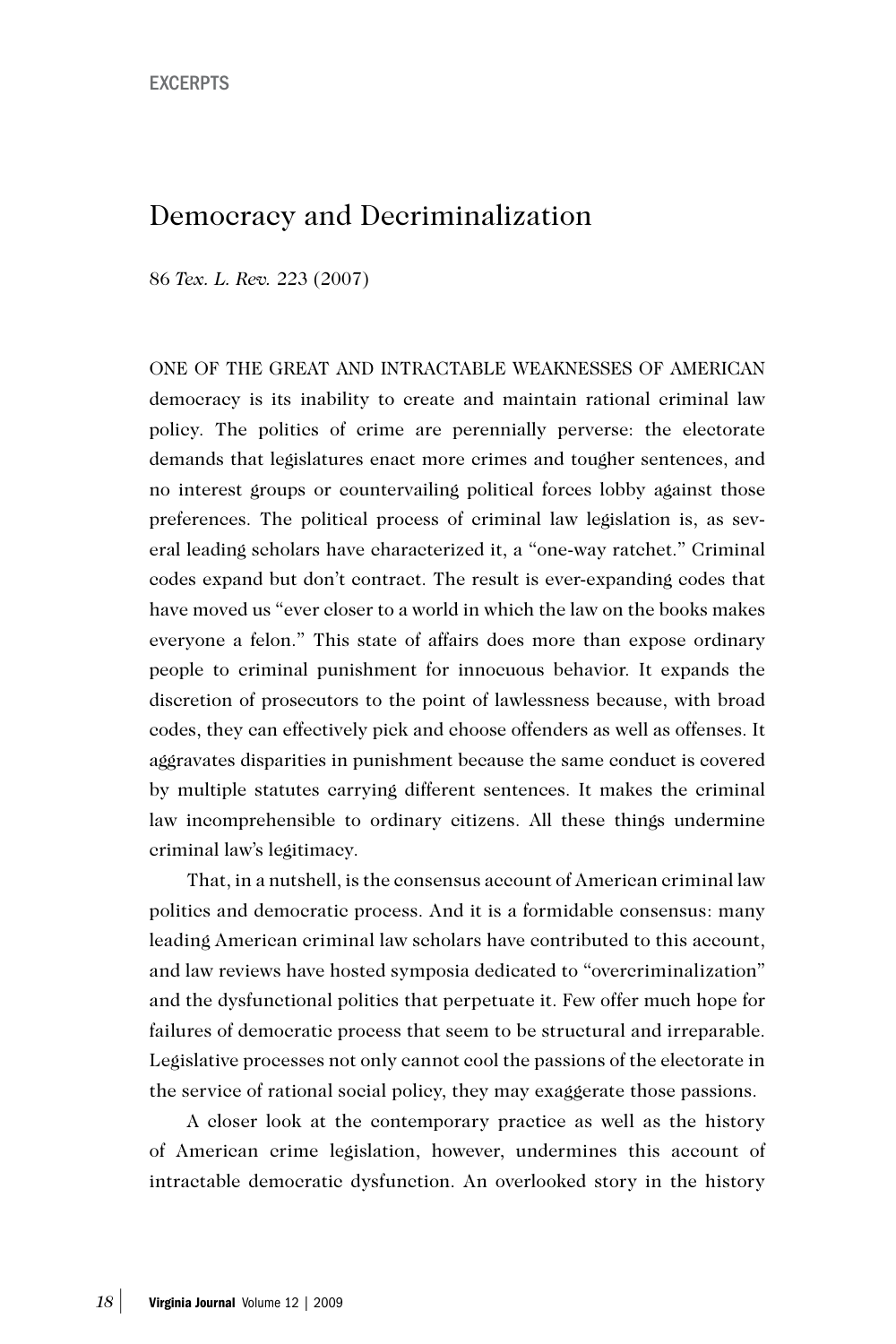# Democracy and Decriminalization

86 *Tex. L. Rev.* 223 (2007)

One of the great and intractable weaknesses of American democracy is its inability to create and maintain rational criminal law policy. The politics of crime are perennially perverse: the electorate demands that legislatures enact more crimes and tougher sentences, and no interest groups or countervailing political forces lobby against those preferences. The political process of criminal law legislation is, as several leading scholars have characterized it, a "one-way ratchet." Criminal codes expand but don't contract. The result is ever-expanding codes that have moved us "ever closer to a world in which the law on the books makes everyone a felon." This state of affairs does more than expose ordinary people to criminal punishment for innocuous behavior. It expands the discretion of prosecutors to the point of lawlessness because, with broad codes, they can effectively pick and choose offenders as well as offenses. It aggravates disparities in punishment because the same conduct is covered by multiple statutes carrying different sentences. It makes the criminal law incomprehensible to ordinary citizens. All these things undermine criminal law's legitimacy.

That, in a nutshell, is the consensus account of American criminal law politics and democratic process. And it is a formidable consensus: many leading American criminal law scholars have contributed to this account, and law reviews have hosted symposia dedicated to "overcriminalization" and the dysfunctional politics that perpetuate it. Few offer much hope for failures of democratic process that seem to be structural and irreparable. Legislative processes not only cannot cool the passions of the electorate in the service of rational social policy, they may exaggerate those passions.

A closer look at the contemporary practice as well as the history of American crime legislation, however, undermines this account of intractable democratic dysfunction. An overlooked story in the history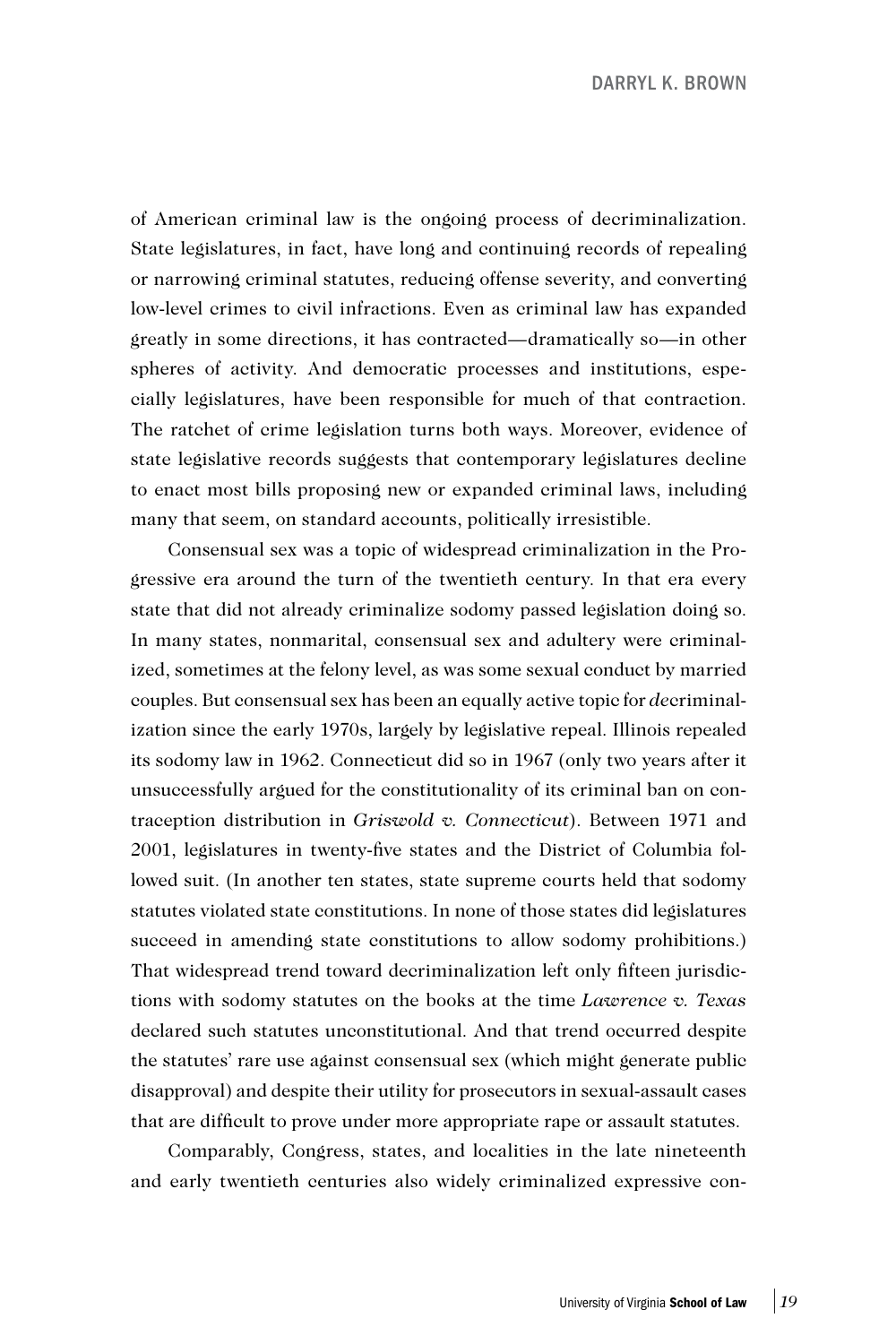of American criminal law is the ongoing process of decriminalization. State legislatures, in fact, have long and continuing records of repealing or narrowing criminal statutes, reducing offense severity, and converting low-level crimes to civil infractions. Even as criminal law has expanded greatly in some directions, it has contracted—dramatically so—in other spheres of activity. And democratic processes and institutions, especially legislatures, have been responsible for much of that contraction. The ratchet of crime legislation turns both ways. Moreover, evidence of state legislative records suggests that contemporary legislatures decline to enact most bills proposing new or expanded criminal laws, including many that seem, on standard accounts, politically irresistible.

Consensual sex was a topic of widespread criminalization in the Progressive era around the turn of the twentieth century. In that era every state that did not already criminalize sodomy passed legislation doing so. In many states, nonmarital, consensual sex and adultery were criminalized, sometimes at the felony level, as was some sexual conduct by married couples. But consensual sex has been an equally active topic for *de*criminalization since the early 1970s, largely by legislative repeal. Illinois repealed its sodomy law in 1962. Connecticut did so in 1967 (only two years after it unsuccessfully argued for the constitutionality of its criminal ban on contraception distribution in *Griswold v. Connecticut*). Between 1971 and 2001, legislatures in twenty-five states and the District of Columbia followed suit. (In another ten states, state supreme courts held that sodomy statutes violated state constitutions. In none of those states did legislatures succeed in amending state constitutions to allow sodomy prohibitions.) That widespread trend toward decriminalization left only fifteen jurisdictions with sodomy statutes on the books at the time *Lawrence v. Texas* declared such statutes unconstitutional. And that trend occurred despite the statutes' rare use against consensual sex (which might generate public disapproval) and despite their utility for prosecutors in sexual-assault cases that are difficult to prove under more appropriate rape or assault statutes.

Comparably, Congress, states, and localities in the late nineteenth and early twentieth centuries also widely criminalized expressive con-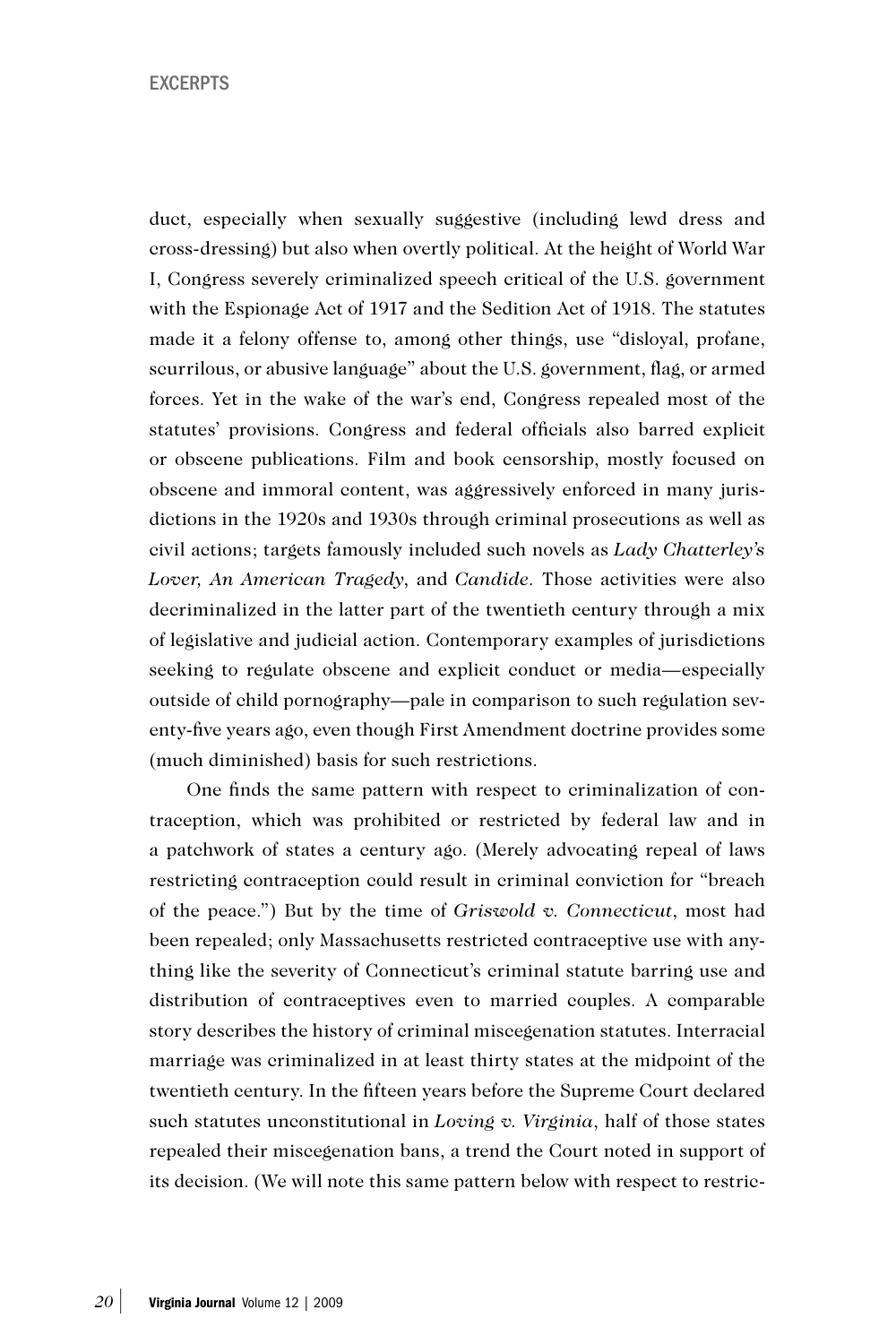duct, especially when sexually suggestive (including lewd dress and cross-dressing) but also when overtly political. At the height of World War I, Congress severely criminalized speech critical of the U.S. government with the Espionage Act of 1917 and the Sedition Act of 1918. The statutes made it a felony offense to, among other things, use "disloyal, profane, scurrilous, or abusive language" about the U.S. government, flag, or armed forces. Yet in the wake of the war's end, Congress repealed most of the statutes' provisions. Congress and federal officials also barred explicit or obscene publications. Film and book censorship, mostly focused on obscene and immoral content, was aggressively enforced in many jurisdictions in the 1920s and 1930s through criminal prosecutions as well as civil actions; targets famously included such novels as *Lady Chatterley's Lover, An American Tragedy*, and *Candide*. Those activities were also decriminalized in the latter part of the twentieth century through a mix of legislative and judicial action. Contemporary examples of jurisdictions seeking to regulate obscene and explicit conduct or media—especially outside of child pornography—pale in comparison to such regulation seventy-five years ago, even though First Amendment doctrine provides some (much diminished) basis for such restrictions.

One finds the same pattern with respect to criminalization of contraception, which was prohibited or restricted by federal law and in a patchwork of states a century ago. (Merely advocating repeal of laws restricting contraception could result in criminal conviction for "breach of the peace.") But by the time of *Griswold v. Connecticut*, most had been repealed; only Massachusetts restricted contraceptive use with anything like the severity of Connecticut's criminal statute barring use and distribution of contraceptives even to married couples. A comparable story describes the history of criminal miscegenation statutes. Interracial marriage was criminalized in at least thirty states at the midpoint of the twentieth century. In the fifteen years before the Supreme Court declared such statutes unconstitutional in *Loving v. Virginia*, half of those states repealed their miscegenation bans, a trend the Court noted in support of its decision. (We will note this same pattern below with respect to restric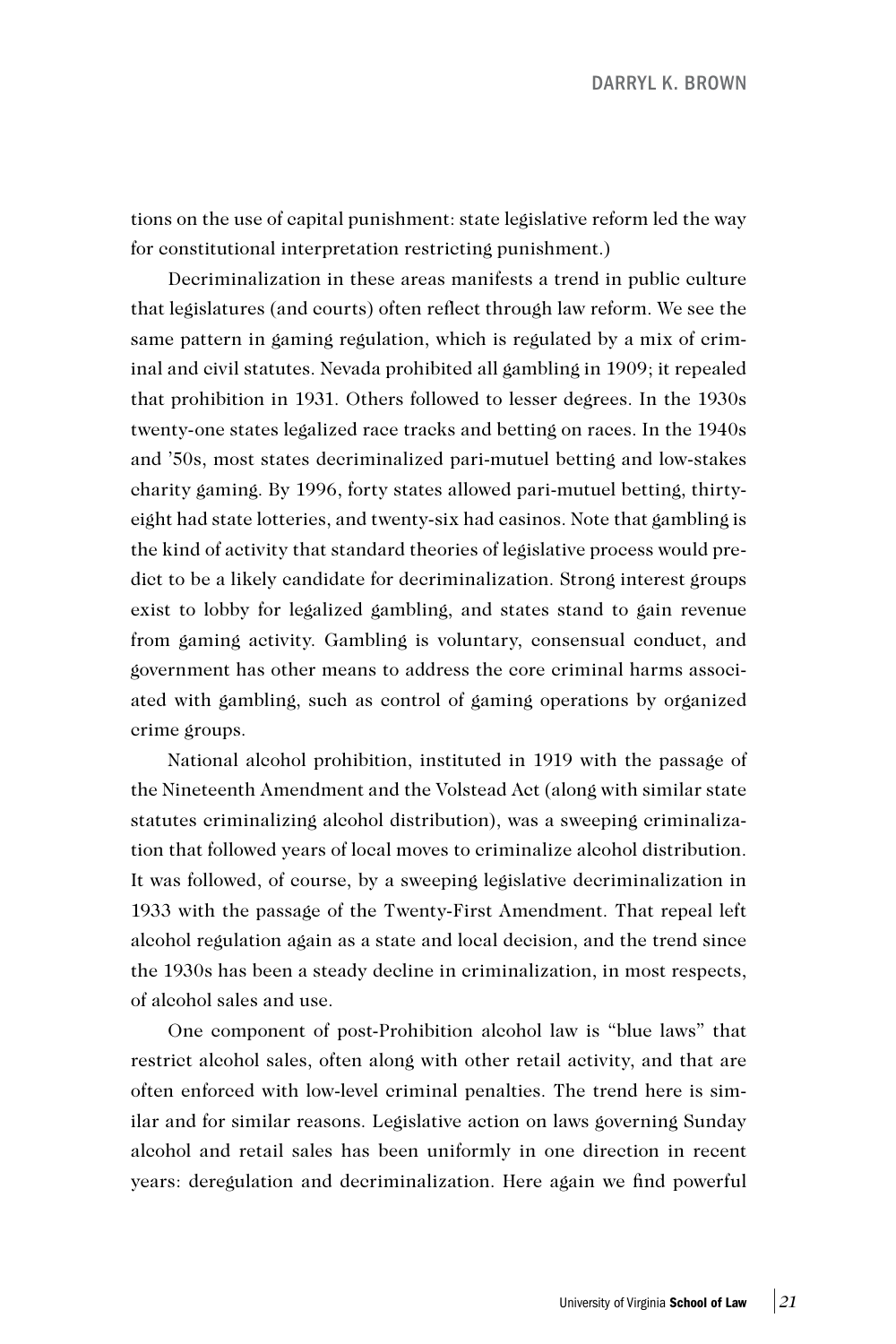tions on the use of capital punishment: state legislative reform led the way for constitutional interpretation restricting punishment.)

Decriminalization in these areas manifests a trend in public culture that legislatures (and courts) often reflect through law reform. We see the same pattern in gaming regulation, which is regulated by a mix of criminal and civil statutes. Nevada prohibited all gambling in 1909; it repealed that prohibition in 1931. Others followed to lesser degrees. In the 1930s twenty-one states legalized race tracks and betting on races. In the 1940s and '50s, most states decriminalized pari-mutuel betting and low-stakes charity gaming. By 1996, forty states allowed pari-mutuel betting, thirtyeight had state lotteries, and twenty-six had casinos. Note that gambling is the kind of activity that standard theories of legislative process would predict to be a likely candidate for decriminalization. Strong interest groups exist to lobby for legalized gambling, and states stand to gain revenue from gaming activity. Gambling is voluntary, consensual conduct, and government has other means to address the core criminal harms associated with gambling, such as control of gaming operations by organized crime groups.

National alcohol prohibition, instituted in 1919 with the passage of the Nineteenth Amendment and the Volstead Act (along with similar state statutes criminalizing alcohol distribution), was a sweeping criminalization that followed years of local moves to criminalize alcohol distribution. It was followed, of course, by a sweeping legislative decriminalization in 1933 with the passage of the Twenty-First Amendment. That repeal left alcohol regulation again as a state and local decision, and the trend since the 1930s has been a steady decline in criminalization, in most respects, of alcohol sales and use.

One component of post-Prohibition alcohol law is "blue laws" that restrict alcohol sales, often along with other retail activity, and that are often enforced with low-level criminal penalties. The trend here is similar and for similar reasons. Legislative action on laws governing Sunday alcohol and retail sales has been uniformly in one direction in recent years: deregulation and decriminalization. Here again we find powerful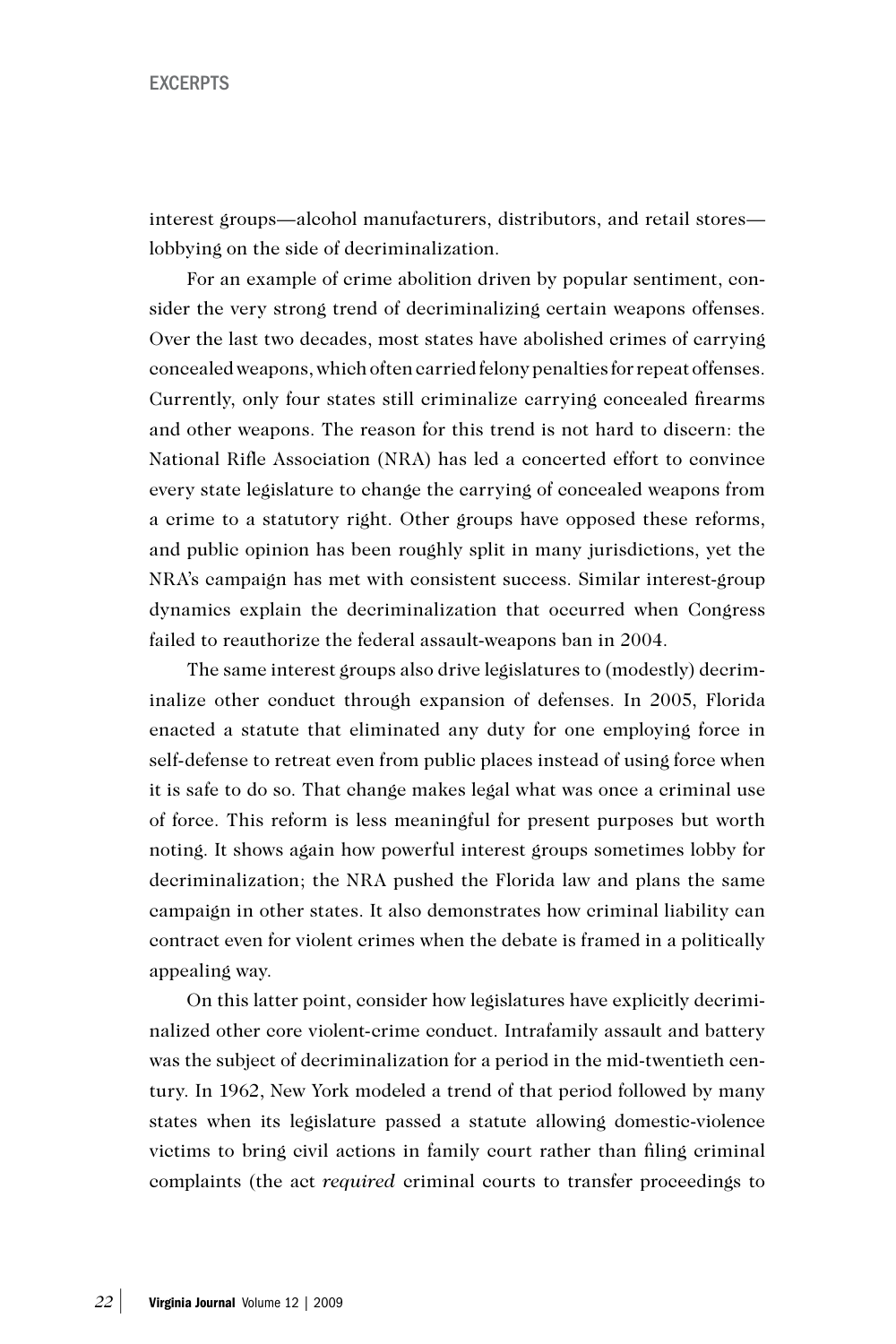interest groups—alcohol manufacturers, distributors, and retail stores lobbying on the side of decriminalization.

For an example of crime abolition driven by popular sentiment, consider the very strong trend of decriminalizing certain weapons offenses. Over the last two decades, most states have abolished crimes of carrying concealed weapons, which often carried felony penalties for repeat offenses. Currently, only four states still criminalize carrying concealed firearms and other weapons. The reason for this trend is not hard to discern: the National Rifle Association (NRA) has led a concerted effort to convince every state legislature to change the carrying of concealed weapons from a crime to a statutory right. Other groups have opposed these reforms, and public opinion has been roughly split in many jurisdictions, yet the NRA's campaign has met with consistent success. Similar interest-group dynamics explain the decriminalization that occurred when Congress failed to reauthorize the federal assault-weapons ban in 2004.

The same interest groups also drive legislatures to (modestly) decriminalize other conduct through expansion of defenses. In 2005, Florida enacted a statute that eliminated any duty for one employing force in self-defense to retreat even from public places instead of using force when it is safe to do so. That change makes legal what was once a criminal use of force. This reform is less meaningful for present purposes but worth noting. It shows again how powerful interest groups sometimes lobby for decriminalization; the NRA pushed the Florida law and plans the same campaign in other states. It also demonstrates how criminal liability can contract even for violent crimes when the debate is framed in a politically appealing way.

On this latter point, consider how legislatures have explicitly decriminalized other core violent-crime conduct. Intrafamily assault and battery was the subject of decriminalization for a period in the mid-twentieth century. In 1962, New York modeled a trend of that period followed by many states when its legislature passed a statute allowing domestic-violence victims to bring civil actions in family court rather than filing criminal complaints (the act *required* criminal courts to transfer proceedings to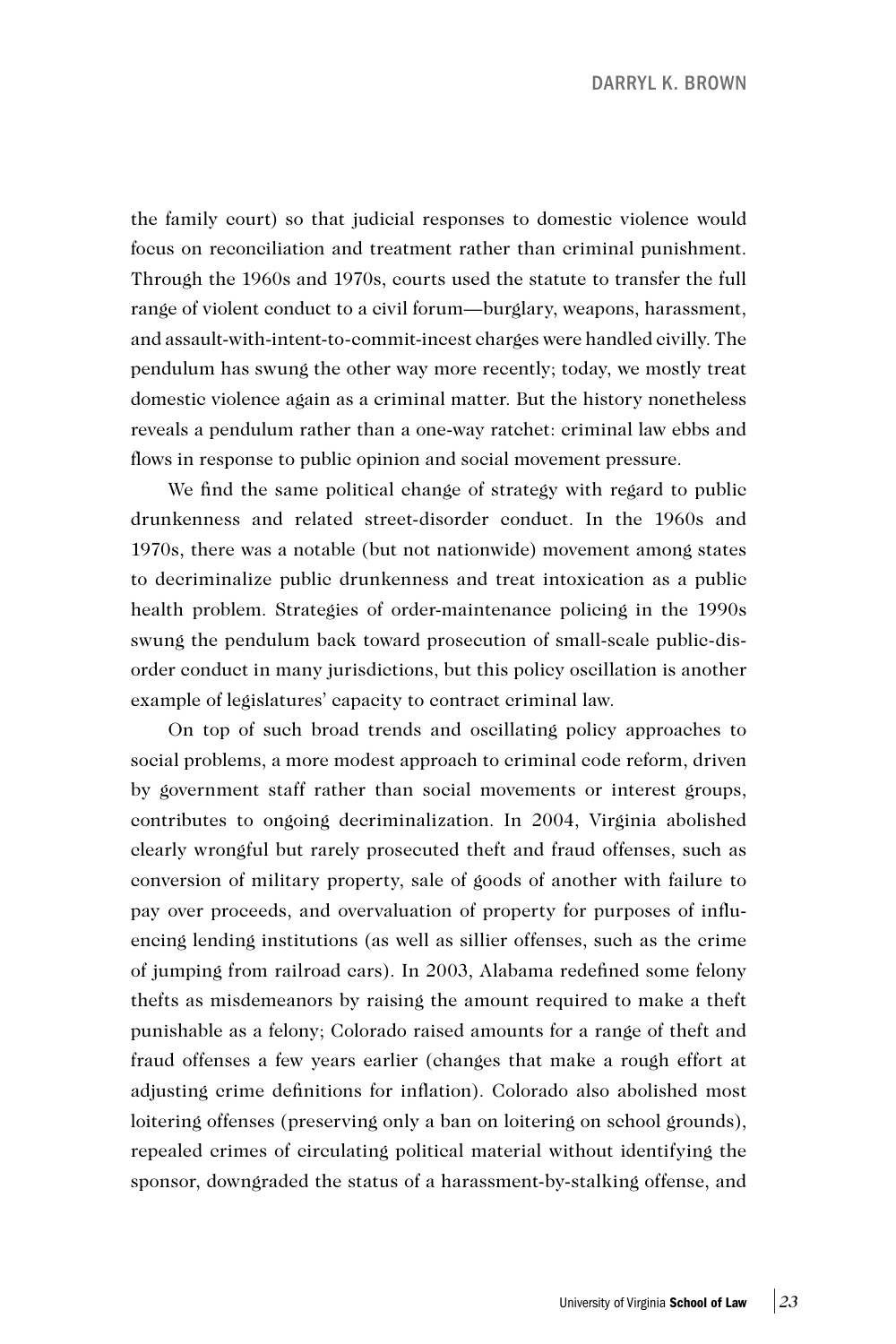the family court) so that judicial responses to domestic violence would focus on reconciliation and treatment rather than criminal punishment. Through the 1960s and 1970s, courts used the statute to transfer the full range of violent conduct to a civil forum—burglary, weapons, harassment, and assault-with-intent-to-commit-incest charges were handled civilly. The pendulum has swung the other way more recently; today, we mostly treat domestic violence again as a criminal matter. But the history nonetheless reveals a pendulum rather than a one-way ratchet: criminal law ebbs and flows in response to public opinion and social movement pressure.

We find the same political change of strategy with regard to public drunkenness and related street-disorder conduct. In the 1960s and 1970s, there was a notable (but not nationwide) movement among states to decriminalize public drunkenness and treat intoxication as a public health problem. Strategies of order-maintenance policing in the 1990s swung the pendulum back toward prosecution of small-scale public-disorder conduct in many jurisdictions, but this policy oscillation is another example of legislatures' capacity to contract criminal law.

On top of such broad trends and oscillating policy approaches to social problems, a more modest approach to criminal code reform, driven by government staff rather than social movements or interest groups, contributes to ongoing decriminalization. In 2004, Virginia abolished clearly wrongful but rarely prosecuted theft and fraud offenses, such as conversion of military property, sale of goods of another with failure to pay over proceeds, and overvaluation of property for purposes of influencing lending institutions (as well as sillier offenses, such as the crime of jumping from railroad cars). In 2003, Alabama redefined some felony thefts as misdemeanors by raising the amount required to make a theft punishable as a felony; Colorado raised amounts for a range of theft and fraud offenses a few years earlier (changes that make a rough effort at adjusting crime definitions for inflation). Colorado also abolished most loitering offenses (preserving only a ban on loitering on school grounds), repealed crimes of circulating political material without identifying the sponsor, downgraded the status of a harassment-by-stalking offense, and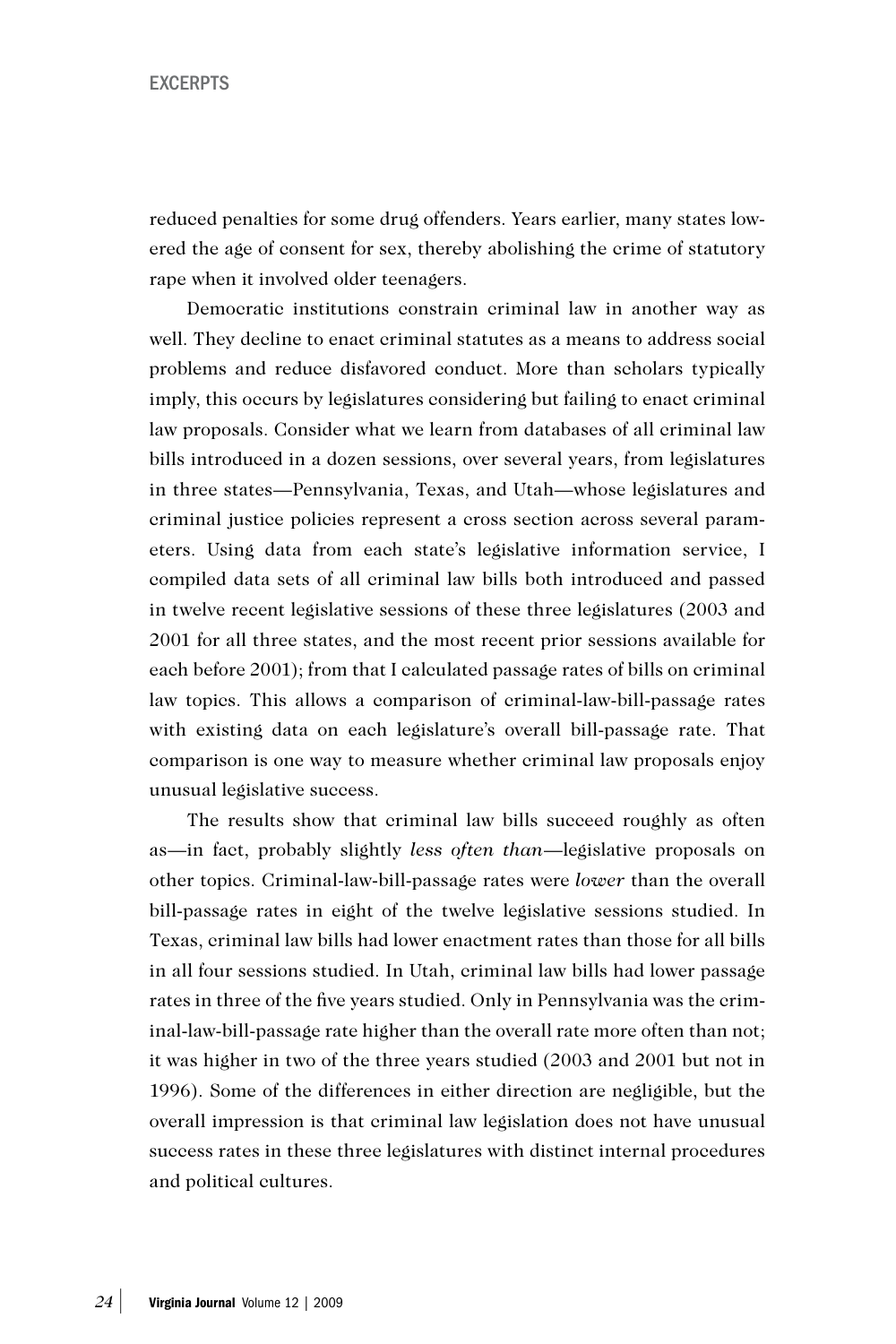reduced penalties for some drug offenders. Years earlier, many states lowered the age of consent for sex, thereby abolishing the crime of statutory rape when it involved older teenagers.

Democratic institutions constrain criminal law in another way as well. They decline to enact criminal statutes as a means to address social problems and reduce disfavored conduct. More than scholars typically imply, this occurs by legislatures considering but failing to enact criminal law proposals. Consider what we learn from databases of all criminal law bills introduced in a dozen sessions, over several years, from legislatures in three states—Pennsylvania, Texas, and Utah—whose legislatures and criminal justice policies represent a cross section across several parameters. Using data from each state's legislative information service, I compiled data sets of all criminal law bills both introduced and passed in twelve recent legislative sessions of these three legislatures (2003 and 2001 for all three states, and the most recent prior sessions available for each before 2001); from that I calculated passage rates of bills on criminal law topics. This allows a comparison of criminal-law-bill-passage rates with existing data on each legislature's overall bill-passage rate. That comparison is one way to measure whether criminal law proposals enjoy unusual legislative success.

The results show that criminal law bills succeed roughly as often as—in fact, probably slightly *less often than*—legislative proposals on other topics. Criminal-law-bill-passage rates were *lower* than the overall bill-passage rates in eight of the twelve legislative sessions studied. In Texas, criminal law bills had lower enactment rates than those for all bills in all four sessions studied. In Utah, criminal law bills had lower passage rates in three of the five years studied. Only in Pennsylvania was the criminal-law-bill-passage rate higher than the overall rate more often than not; it was higher in two of the three years studied (2003 and 2001 but not in 1996). Some of the differences in either direction are negligible, but the overall impression is that criminal law legislation does not have unusual success rates in these three legislatures with distinct internal procedures and political cultures.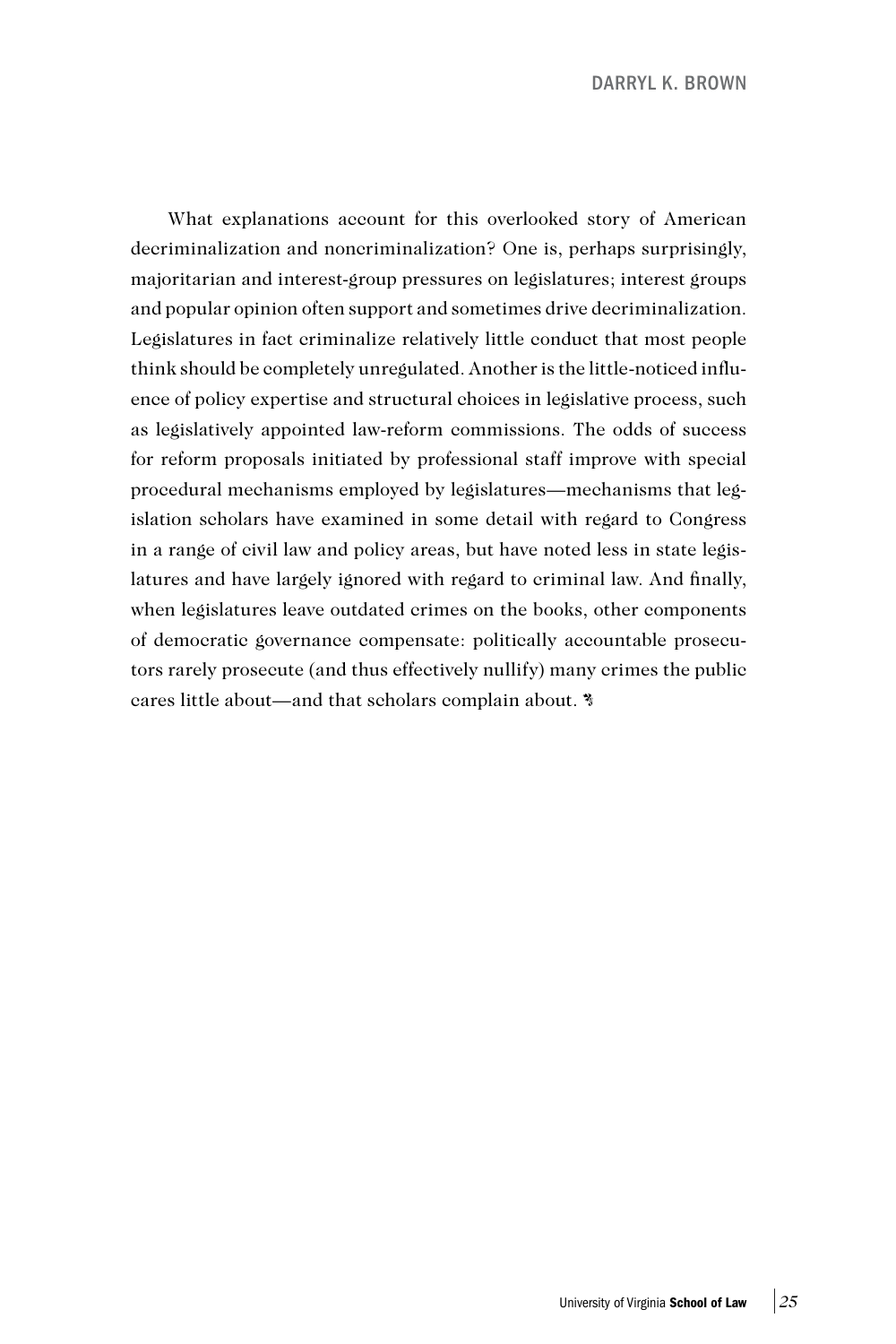What explanations account for this overlooked story of American decriminalization and noncriminalization? One is, perhaps surprisingly, majoritarian and interest-group pressures on legislatures; interest groups and popular opinion often support and sometimes drive decriminalization. Legislatures in fact criminalize relatively little conduct that most people think should be completely unregulated. Another is the little-noticed influence of policy expertise and structural choices in legislative process, such as legislatively appointed law-reform commissions. The odds of success for reform proposals initiated by professional staff improve with special procedural mechanisms employed by legislatures—mechanisms that legislation scholars have examined in some detail with regard to Congress in a range of civil law and policy areas, but have noted less in state legislatures and have largely ignored with regard to criminal law. And finally, when legislatures leave outdated crimes on the books, other components of democratic governance compensate: politically accountable prosecutors rarely prosecute (and thus effectively nullify) many crimes the public cares little about—and that scholars complain about.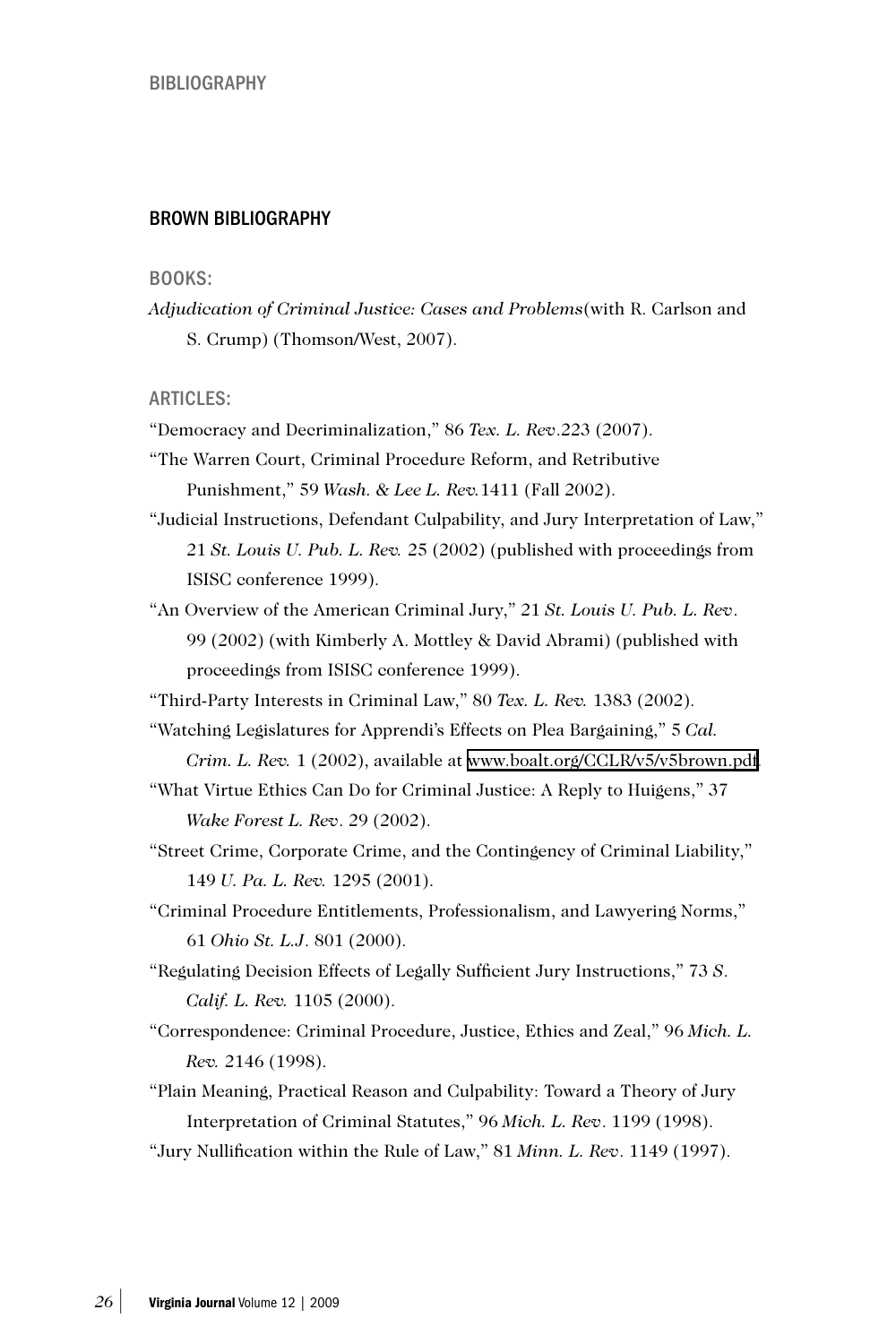## brown Bibliography

#### Books:

*Adjudication of Criminal Justice: Cases and Problems*(with R. Carlson and S. Crump) (Thomson/West, 2007).

#### Articles:

- "Democracy and Decriminalization," 86 *Tex. L. Rev*.223 (2007).
- "The Warren Court, Criminal Procedure Reform, and Retributive Punishment," 59 *Wash. & Lee L. Rev.*1411 (Fall 2002).
- "Judicial Instructions, Defendant Culpability, and Jury Interpretation of Law," 21 *St. Louis U. Pub. L. Rev.* 25 (2002) (published with proceedings from ISISC conference 1999).
- "An Overview of the American Criminal Jury," 21 *St. Louis U. Pub. L. Rev*. 99 (2002) (with Kimberly A. Mottley & David Abrami) (published with proceedings from ISISC conference 1999).
- "Third-Party Interests in Criminal Law," 80 *Tex. L. Rev.* 1383 (2002).
- "Watching Legislatures for Apprendi's Effects on Plea Bargaining," 5 *Cal. Crim. L. Rev.* 1 (2002), available at [www.boalt.org/CCLR/v5/v5brown.pdf](http://www.boalt.org/CCLR/v5/v5brown.pdf).
- "What Virtue Ethics Can Do for Criminal Justice: A Reply to Huigens," 37 *Wake Forest L. Rev*. 29 (2002).
- "Street Crime, Corporate Crime, and the Contingency of Criminal Liability," 149 *U. Pa. L. Rev.* 1295 (2001).
- "Criminal Procedure Entitlements, Professionalism, and Lawyering Norms," 61 *Ohio St. L.J*. 801 (2000).
- "Regulating Decision Effects of Legally Sufficient Jury Instructions," 73 *S*. *Calif. L. Rev.* 1105 (2000).
- "Correspondence: Criminal Procedure, Justice, Ethics and Zeal," 96 *Mich. L. Rev.* 2146 (1998).
- "Plain Meaning, Practical Reason and Culpability: Toward a Theory of Jury Interpretation of Criminal Statutes," 96 *Mich. L. Rev*. 1199 (1998).
- "Jury Nullification within the Rule of Law," 81 *Minn. L. Rev*. 1149 (1997).